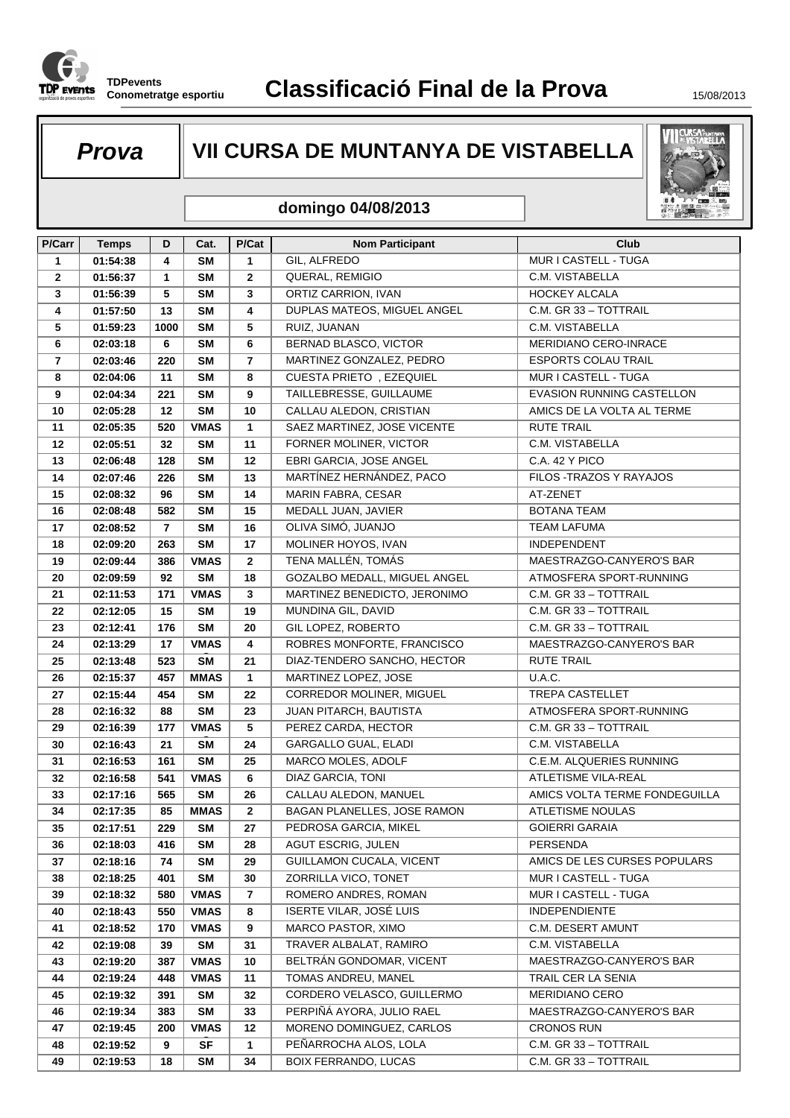

# **Prova VII CURSA DE MUNTANYA DE VISTABELLA**



#### **domingo 04/08/2013**

| P/Carr         | <b>Temps</b> | D              | Cat.        | P/Cat          | <b>Nom Participant</b>         | Club                             |
|----------------|--------------|----------------|-------------|----------------|--------------------------------|----------------------------------|
| $\mathbf{1}$   | 01:54:38     | 4              | <b>SM</b>   | $\mathbf{1}$   | GIL, ALFREDO                   | MUR I CASTELL - TUGA             |
| $\overline{2}$ | 01:56:37     | $\mathbf{1}$   | <b>SM</b>   | $\overline{2}$ | QUERAL, REMIGIO                | C.M. VISTABELLA                  |
| 3              | 01:56:39     | 5              | <b>SM</b>   | 3              | ORTIZ CARRION, IVAN            | <b>HOCKEY ALCALA</b>             |
| 4              | 01:57:50     | 13             | <b>SM</b>   | 4              | DUPLAS MATEOS, MIGUEL ANGEL    | C.M. GR 33 - TOTTRAIL            |
| 5              | 01:59:23     | 1000           | <b>SM</b>   | 5              | RUIZ, JUANAN                   | C.M. VISTABELLA                  |
| 6              | 02:03:18     | 6              | <b>SM</b>   | 6              | BERNAD BLASCO, VICTOR          | MERIDIANO CERO-INRACE            |
| $\overline{7}$ | 02:03:46     | 220            | <b>SM</b>   | $\overline{7}$ | MARTINEZ GONZALEZ, PEDRO       | <b>ESPORTS COLAU TRAIL</b>       |
| 8              | 02:04:06     | 11             | <b>SM</b>   | 8              | CUESTA PRIETO, EZEQUIEL        | MUR I CASTELL - TUGA             |
| 9              | 02:04:34     | 221            | <b>SM</b>   | 9              | TAILLEBRESSE, GUILLAUME        | <b>EVASION RUNNING CASTELLON</b> |
| 10             | 02:05:28     | 12             | <b>SM</b>   | 10             | CALLAU ALEDON, CRISTIAN        | AMICS DE LA VOLTA AL TERME       |
| 11             | 02:05:35     | 520            | <b>VMAS</b> | $\mathbf{1}$   | SAEZ MARTINEZ, JOSE VICENTE    | <b>RUTE TRAIL</b>                |
| 12             | 02:05:51     | 32             | <b>SM</b>   | 11             | FORNER MOLINER, VICTOR         | C.M. VISTABELLA                  |
| 13             | 02:06:48     | 128            | <b>SM</b>   | 12             | EBRI GARCIA, JOSE ANGEL        | C.A. 42 Y PICO                   |
| 14             | 02:07:46     | 226            | <b>SM</b>   | 13             | MARTÍNEZ HERNÁNDEZ, PACO       | FILOS - TRAZOS Y RAYAJOS         |
| 15             | 02:08:32     | 96             | <b>SM</b>   | 14             | MARIN FABRA, CESAR             | AT-ZENET                         |
| 16             | 02:08:48     | 582            | <b>SM</b>   | 15             | MEDALL JUAN, JAVIER            | BOTANA TEAM                      |
| 17             | 02:08:52     | $\overline{7}$ | <b>SM</b>   | 16             | OLIVA SIMÓ, JUANJO             | <b>TEAM LAFUMA</b>               |
| 18             | 02:09:20     | 263            | <b>SM</b>   | 17             | MOLINER HOYOS, IVAN            | <b>INDEPENDENT</b>               |
| 19             | 02:09:44     | 386            | <b>VMAS</b> | $\mathbf{2}$   | TENA MALLÉN, TOMÁS             | MAESTRAZGO-CANYERO'S BAR         |
| 20             | 02:09:59     | 92             | <b>SM</b>   | 18             | GOZALBO MEDALL, MIGUEL ANGEL   | ATMOSFERA SPORT-RUNNING          |
| 21             | 02:11:53     | 171            | <b>VMAS</b> | $\mathbf{3}$   | MARTINEZ BENEDICTO, JERONIMO   | C.M. GR 33 - TOTTRAIL            |
| 22             | 02:12:05     | 15             | <b>SM</b>   | 19             | MUNDINA GIL, DAVID             | C.M. GR 33 - TOTTRAIL            |
| 23             | 02:12:41     | 176            | <b>SM</b>   | 20             | GIL LOPEZ, ROBERTO             | C.M. GR 33 - TOTTRAIL            |
| 24             | 02:13:29     | 17             | <b>VMAS</b> | 4              | ROBRES MONFORTE, FRANCISCO     | MAESTRAZGO-CANYERO'S BAR         |
| 25             | 02:13:48     | 523            | <b>SM</b>   | 21             | DIAZ-TENDERO SANCHO, HECTOR    | <b>RUTE TRAIL</b>                |
| 26             | 02:15:37     | 457            | <b>MMAS</b> | $\mathbf{1}$   | MARTINEZ LOPEZ, JOSE           | U.A.C.                           |
| 27             | 02:15:44     | 454            | <b>SM</b>   | 22             | CORREDOR MOLINER, MIGUEL       | <b>TREPA CASTELLET</b>           |
| 28             | 02:16:32     | 88             | <b>SM</b>   | 23             | JUAN PITARCH, BAUTISTA         | ATMOSFERA SPORT-RUNNING          |
| 29             | 02:16:39     | 177            | <b>VMAS</b> | 5              | PEREZ CARDA, HECTOR            | C.M. GR 33 - TOTTRAIL            |
| 30             | 02:16:43     | 21             | <b>SM</b>   | 24             | GARGALLO GUAL, ELADI           | C.M. VISTABELLA                  |
| 31             | 02:16:53     | 161            | <b>SM</b>   | 25             | MARCO MOLES, ADOLF             | C.E.M. ALQUERIES RUNNING         |
| 32             | 02:16:58     | 541            | <b>VMAS</b> | 6              | DIAZ GARCIA, TONI              | ATLETISME VILA-REAL              |
| 33             | 02:17:16     | 565            | <b>SM</b>   | 26             | CALLAU ALEDON, MANUEL          | AMICS VOLTA TERME FONDEGUILLA    |
| 34             | 02:17:35     | 85             | <b>MMAS</b> | $\mathbf{2}$   | BAGAN PLANELLES, JOSE RAMON    | <b>ATLETISME NOULAS</b>          |
| 35             | 02:17:51     | 229            | <b>SM</b>   | 27             | PEDROSA GARCIA, MIKEL          | <b>GOIERRI GARAIA</b>            |
| 36             | 02:18:03     | 416            | <b>SM</b>   | 28             | <b>AGUT ESCRIG, JULEN</b>      | PERSENDA                         |
| 37             | 02:18:16     | 74             | SM          | 29             | GUILLAMON CUCALA, VICENT       | AMICS DE LES CURSES POPULARS     |
| 38             | 02:18:25     | 401            | SM          | 30             | ZORRILLA VICO, TONET           | MUR I CASTELL - TUGA             |
| 39             | 02:18:32     | 580            | <b>VMAS</b> | 7              | ROMERO ANDRES, ROMAN           | MUR I CASTELL - TUGA             |
| 40             | 02:18:43     | 550            | <b>VMAS</b> | 8              | <b>ISERTE VILAR, JOSÉ LUIS</b> | <b>INDEPENDIENTE</b>             |
| 41             | 02:18:52     | 170            | <b>VMAS</b> | 9              | MARCO PASTOR, XIMO             | C.M. DESERT AMUNT                |
| 42             | 02:19:08     | 39             | SM          | 31             | TRAVER ALBALAT, RAMIRO         | C.M. VISTABELLA                  |
| 43             | 02:19:20     | 387            | <b>VMAS</b> | 10             | BELTRÁN GONDOMAR, VICENT       | MAESTRAZGO-CANYERO'S BAR         |
| 44             | 02:19:24     | 448            | <b>VMAS</b> | 11             | TOMAS ANDREU, MANEL            | TRAIL CER LA SENIA               |
| 45             | 02:19:32     | 391            | SM          | 32             | CORDERO VELASCO, GUILLERMO     | MERIDIANO CERO                   |
| 46             | 02:19:34     | 383            | SM          | 33             | PERPIÑÁ AYORA, JULIO RAEL      | MAESTRAZGO-CANYERO'S BAR         |
| 47             | 02:19:45     | 200            | VMAS        | 12             | MORENO DOMINGUEZ, CARLOS       | <b>CRONOS RUN</b>                |
| 48             | 02:19:52     | 9              | <b>SF</b>   | 1              | PEÑARROCHA ALOS, LOLA          | C.M. GR 33 - TOTTRAIL            |
| 49             | 02:19:53     | 18             | <b>SM</b>   | 34             | <b>BOIX FERRANDO, LUCAS</b>    | C.M. GR 33 - TOTTRAIL            |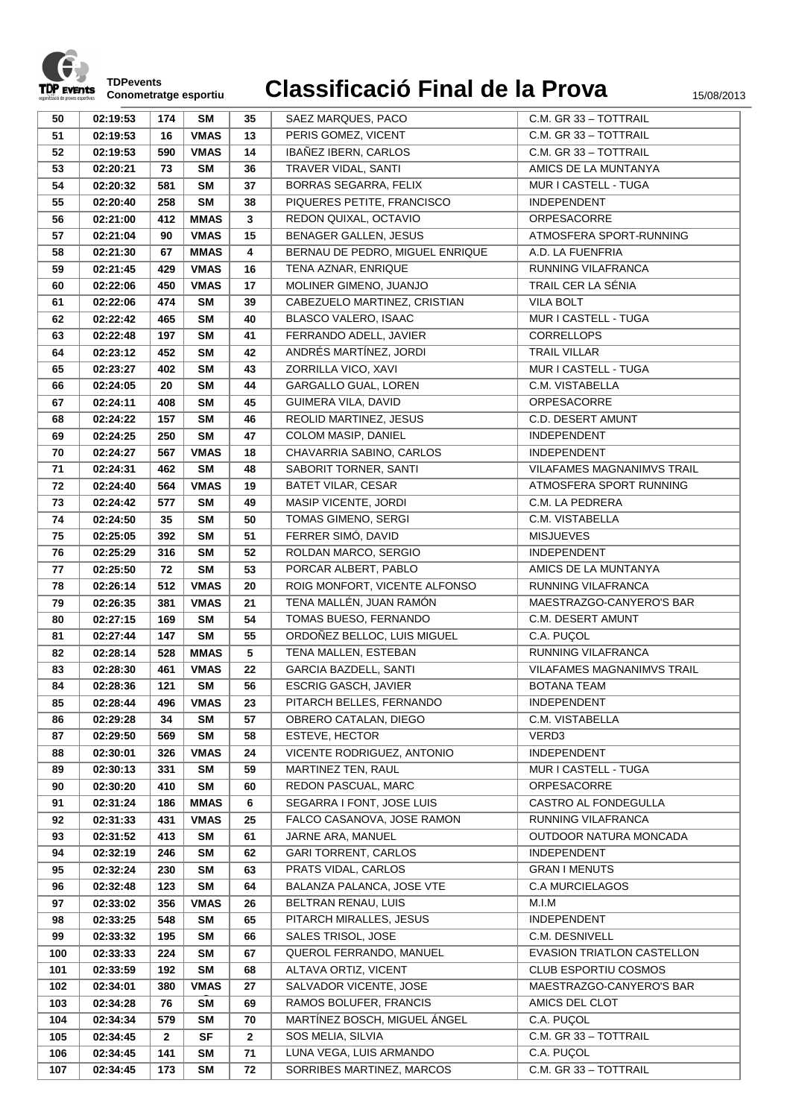

|     |          |              | <b>SM</b>   |              |                                 |                             |
|-----|----------|--------------|-------------|--------------|---------------------------------|-----------------------------|
| 50  | 02:19:53 | 174          |             | 35           | SAEZ MARQUES, PACO              | C.M. GR 33 - TOTTRAIL       |
| 51  | 02:19:53 | 16           | <b>VMAS</b> | 13           | PERIS GOMEZ, VICENT             | C.M. GR 33 - TOTTRAIL       |
| 52  | 02:19:53 | 590          | <b>VMAS</b> | 14           | IBAÑEZ IBERN, CARLOS            | C.M. GR 33 - TOTTRAIL       |
| 53  | 02:20:21 | 73           | <b>SM</b>   | 36           | TRAVER VIDAL, SANTI             | AMICS DE LA MUNTANYA        |
| 54  | 02:20:32 | 581          | <b>SM</b>   | 37           | <b>BORRAS SEGARRA, FELIX</b>    | MUR I CASTELL - TUGA        |
| 55  | 02:20:40 | 258          | <b>SM</b>   | 38           | PIQUERES PETITE, FRANCISCO      | INDEPENDENT                 |
| 56  | 02:21:00 | 412          | <b>MMAS</b> | $\mathbf{3}$ | REDON QUIXAL, OCTAVIO           | ORPESACORRE                 |
| 57  | 02:21:04 | 90           | <b>VMAS</b> | 15           | <b>BENAGER GALLEN, JESUS</b>    | ATMOSFERA SPORT-RUNNING     |
| 58  | 02:21:30 | 67           | <b>MMAS</b> | 4            | BERNAU DE PEDRO, MIGUEL ENRIQUE | A.D. LA FUENFRIA            |
| 59  | 02:21:45 | 429          | <b>VMAS</b> | 16           | TENA AZNAR, ENRIQUE             | <b>RUNNING VILAFRANCA</b>   |
| 60  | 02:22:06 | 450          | <b>VMAS</b> | 17           | MOLINER GIMENO, JUANJO          | TRAIL CER LA SÉNIA          |
| 61  | 02:22:06 | 474          | <b>SM</b>   | 39           | CABEZUELO MARTINEZ, CRISTIAN    | <b>VILA BOLT</b>            |
| 62  | 02:22:42 | 465          | <b>SM</b>   | 40           | BLASCO VALERO, ISAAC            | MUR I CASTELL - TUGA        |
| 63  | 02:22:48 | 197          | <b>SM</b>   | 41           | FERRANDO ADELL, JAVIER          | <b>CORRELLOPS</b>           |
| 64  | 02:23:12 | 452          | <b>SM</b>   | 42           | ANDRÉS MARTÍNEZ, JORDI          | <b>TRAIL VILLAR</b>         |
| 65  | 02:23:27 | 402          | <b>SM</b>   | 43           | ZORRILLA VICO, XAVI             | MUR I CASTELL - TUGA        |
| 66  | 02:24:05 | 20           | <b>SM</b>   | 44           | GARGALLO GUAL, LOREN            | C.M. VISTABELLA             |
| 67  | 02:24:11 | 408          | <b>SM</b>   | 45           | GUIMERA VILA, DAVID             | ORPESACORRE                 |
| 68  | 02:24:22 | 157          | <b>SM</b>   | 46           | REOLID MARTINEZ, JESUS          | <b>C.D. DESERT AMUNT</b>    |
| 69  | 02:24:25 | 250          | <b>SM</b>   | 47           | COLOM MASIP, DANIEL             | INDEPENDENT                 |
| 70  | 02:24:27 | 567          | <b>VMAS</b> | 18           | CHAVARRIA SABINO, CARLOS        | <b>INDEPENDENT</b>          |
| 71  | 02:24:31 | 462          | <b>SM</b>   | 48           | SABORIT TORNER, SANTI           | VILAFAMES MAGNANIMVS TRAIL  |
| 72  | 02:24:40 | 564          | <b>VMAS</b> | 19           | <b>BATET VILAR, CESAR</b>       | ATMOSFERA SPORT RUNNING     |
| 73  | 02:24:42 | 577          | <b>SM</b>   | 49           | MASIP VICENTE, JORDI            | C.M. LA PEDRERA             |
| 74  | 02:24:50 | 35           | <b>SM</b>   | 50           | TOMAS GIMENO, SERGI             | C.M. VISTABELLA             |
| 75  | 02:25:05 | 392          | <b>SM</b>   | 51           | FERRER SIMÓ, DAVID              | <b>MISJUEVES</b>            |
| 76  | 02:25:29 | 316          | <b>SM</b>   | 52           | ROLDAN MARCO, SERGIO            | INDEPENDENT                 |
|     |          |              |             |              |                                 |                             |
| 77  | 02:25:50 | 72           | <b>SM</b>   | 53           | PORCAR ALBERT, PABLO            | AMICS DE LA MUNTANYA        |
| 78  | 02:26:14 | 512          | <b>VMAS</b> | 20           | ROIG MONFORT, VICENTE ALFONSO   | RUNNING VILAFRANCA          |
| 79  | 02:26:35 | 381          | <b>VMAS</b> | 21           | TENA MALLÉN, JUAN RAMÓN         | MAESTRAZGO-CANYERO'S BAR    |
| 80  | 02:27:15 | 169          | <b>SM</b>   | 54           | TOMAS BUESO, FERNANDO           | C.M. DESERT AMUNT           |
| 81  | 02:27:44 | 147          | <b>SM</b>   | 55           | ORDOÑEZ BELLOC, LUIS MIGUEL     | C.A. PUÇOL                  |
| 82  | 02:28:14 | 528          | <b>MMAS</b> | 5            | TENA MALLEN, ESTEBAN            | <b>RUNNING VILAFRANCA</b>   |
| 83  | 02:28:30 | 461          | <b>VMAS</b> | 22           | <b>GARCIA BAZDELL, SANTI</b>    | VILAFAMES MAGNANIMVS TRAIL  |
| 84  | 02:28:36 | 121          | <b>SM</b>   | 56           | <b>ESCRIG GASCH, JAVIER</b>     | BOTANA TEAM                 |
| 85  | 02:28:44 | 496          | <b>VMAS</b> | 23           | PITARCH BELLES, FERNANDO        | <b>INDEPENDENT</b>          |
| 86  | 02:29:28 | 34           | SM          | 57           | OBRERO CATALAN, DIEGO           | C.M. VISTABELLA             |
| 87  | 02:29:50 | 569          | <b>SM</b>   | 58           | ESTEVE, HECTOR                  | VERD3                       |
| 88  | 02:30:01 | 326          | <b>VMAS</b> | 24           | VICENTE RODRIGUEZ, ANTONIO      | INDEPENDENT                 |
| 89  | 02:30:13 | 331          | SM          | 59           | MARTINEZ TEN, RAUL              | MUR I CASTELL - TUGA        |
| 90  | 02:30:20 | 410          | <b>SM</b>   | 60           | REDON PASCUAL, MARC             | ORPESACORRE                 |
| 91  | 02:31:24 | 186          | <b>MMAS</b> | 6            | SEGARRA I FONT, JOSE LUIS       | CASTRO AL FONDEGULLA        |
| 92  | 02:31:33 | 431          | <b>VMAS</b> | 25           | FALCO CASANOVA, JOSE RAMON      | RUNNING VILAFRANCA          |
| 93  | 02:31:52 | 413          | <b>SM</b>   | 61           | JARNE ARA, MANUEL               | OUTDOOR NATURA MONCADA      |
| 94  | 02:32:19 | 246          | SM          | 62           | <b>GARI TORRENT, CARLOS</b>     | INDEPENDENT                 |
| 95  | 02:32:24 | 230          | <b>SM</b>   | 63           | PRATS VIDAL, CARLOS             | <b>GRAN I MENUTS</b>        |
| 96  | 02:32:48 | 123          | <b>SM</b>   | 64           | BALANZA PALANCA, JOSE VTE       | <b>C.A MURCIELAGOS</b>      |
| 97  | 02:33:02 | 356          | <b>VMAS</b> | 26           | BELTRAN RENAU, LUIS             | M.I.M                       |
| 98  | 02:33:25 | 548          | <b>SM</b>   | 65           | PITARCH MIRALLES, JESUS         | INDEPENDENT                 |
| 99  | 02:33:32 | 195          | SM          | 66           | SALES TRISOL, JOSE              | C.M. DESNIVELL              |
| 100 | 02:33:33 | 224          | <b>SM</b>   | 67           | QUEROL FERRANDO, MANUEL         | EVASION TRIATLON CASTELLON  |
| 101 | 02:33:59 | 192          | <b>SM</b>   | 68           | ALTAVA ORTIZ, VICENT            | <b>CLUB ESPORTIU COSMOS</b> |
| 102 | 02:34:01 | 380          | <b>VMAS</b> | 27           | SALVADOR VICENTE, JOSE          | MAESTRAZGO-CANYERO'S BAR    |
| 103 | 02:34:28 | 76           | <b>SM</b>   | 69           | RAMOS BOLUFER, FRANCIS          | AMICS DEL CLOT              |
| 104 | 02:34:34 | 579          | <b>SM</b>   | 70           | MARTÍNEZ BOSCH, MIGUEL ÁNGEL    | C.A. PUÇOL                  |
| 105 | 02:34:45 | $\mathbf{2}$ | <b>SF</b>   | $\mathbf{2}$ | SOS MELIA, SILVIA               | C.M. GR 33 - TOTTRAIL       |
| 106 | 02:34:45 | 141          | <b>SM</b>   | 71           | LUNA VEGA, LUIS ARMANDO         | C.A. PUÇOL                  |
| 107 | 02:34:45 | 173          | <b>SM</b>   | 72           | SORRIBES MARTINEZ, MARCOS       | C.M. GR 33 - TOTTRAIL       |
|     |          |              |             |              |                                 |                             |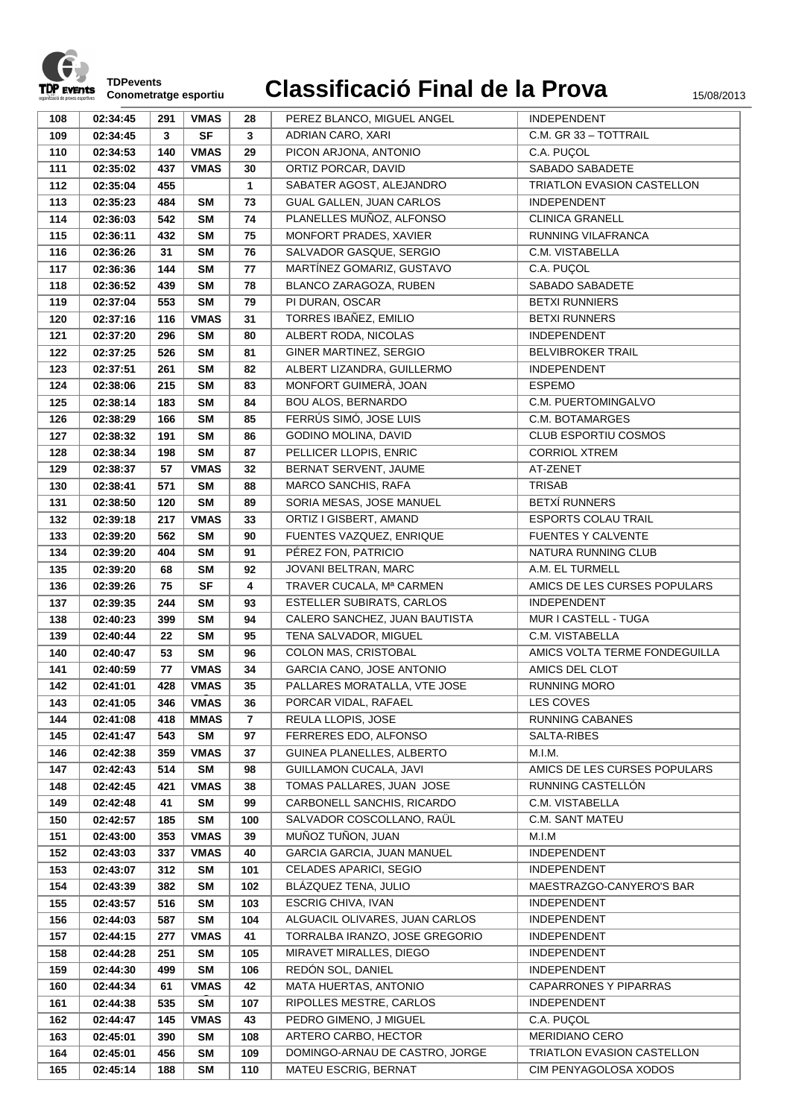

| 108 | 02:34:45 | 291 | <b>VMAS</b> | 28             | PEREZ BLANCO, MIGUEL ANGEL     | INDEPENDENT                       |
|-----|----------|-----|-------------|----------------|--------------------------------|-----------------------------------|
| 109 | 02:34:45 | 3   | <b>SF</b>   | 3              | ADRIAN CARO, XARI              | C.M. GR 33 - TOTTRAIL             |
| 110 | 02:34:53 | 140 | <b>VMAS</b> | 29             | PICON ARJONA, ANTONIO          | C.A. PUÇOL                        |
| 111 | 02:35:02 | 437 | <b>VMAS</b> | 30             | ORTIZ PORCAR, DAVID            | SABADO SABADETE                   |
| 112 | 02:35:04 | 455 |             | 1              | SABATER AGOST, ALEJANDRO       | <b>TRIATLON EVASION CASTELLON</b> |
| 113 | 02:35:23 | 484 | SM          | 73             | GUAL GALLEN, JUAN CARLOS       | <b>INDEPENDENT</b>                |
| 114 | 02:36:03 | 542 | <b>SM</b>   | 74             | PLANELLES MUÑOZ, ALFONSO       | <b>CLINICA GRANELL</b>            |
| 115 | 02:36:11 | 432 | <b>SM</b>   | 75             | MONFORT PRADES, XAVIER         | RUNNING VILAFRANCA                |
| 116 | 02:36:26 | 31  | <b>SM</b>   | 76             | SALVADOR GASQUE, SERGIO        | C.M. VISTABELLA                   |
| 117 | 02:36:36 | 144 | <b>SM</b>   | 77             | MARTÍNEZ GOMARIZ, GUSTAVO      | C.A. PUÇOL                        |
| 118 | 02:36:52 | 439 | <b>SM</b>   | 78             | BLANCO ZARAGOZA, RUBEN         | SABADO SABADETE                   |
| 119 | 02:37:04 | 553 | <b>SM</b>   | 79             | PI DURAN, OSCAR                | <b>BETXI RUNNIERS</b>             |
| 120 |          | 116 | <b>VMAS</b> | 31             | TORRES IBAÑEZ, EMILIO          | <b>BETXI RUNNERS</b>              |
| 121 | 02:37:16 | 296 | <b>SM</b>   | 80             | ALBERT RODA, NICOLAS           | <b>INDEPENDENT</b>                |
|     | 02:37:20 |     |             |                |                                |                                   |
| 122 | 02:37:25 | 526 | <b>SM</b>   | 81             | GINER MARTINEZ, SERGIO         | <b>BELVIBROKER TRAIL</b>          |
| 123 | 02:37:51 | 261 | <b>SM</b>   | 82             | ALBERT LIZANDRA, GUILLERMO     | <b>INDEPENDENT</b>                |
| 124 | 02:38:06 | 215 | <b>SM</b>   | 83             | MONFORT GUIMERÀ, JOAN          | <b>ESPEMO</b>                     |
| 125 | 02:38:14 | 183 | <b>SM</b>   | 84             | <b>BOU ALOS, BERNARDO</b>      | C.M. PUERTOMINGALVO               |
| 126 | 02:38:29 | 166 | <b>SM</b>   | 85             | FERRÚS SIMÓ, JOSE LUIS         | C.M. BOTAMARGES                   |
| 127 | 02:38:32 | 191 | <b>SM</b>   | 86             | <b>GODINO MOLINA, DAVID</b>    | CLUB ESPORTIU COSMOS              |
| 128 | 02:38:34 | 198 | <b>SM</b>   | 87             | PELLICER LLOPIS, ENRIC         | <b>CORRIOL XTREM</b>              |
| 129 | 02:38:37 | 57  | <b>VMAS</b> | 32             | BERNAT SERVENT, JAUME          | AT-ZENET                          |
| 130 | 02:38:41 | 571 | <b>SM</b>   | 88             | MARCO SANCHIS, RAFA            | <b>TRISAB</b>                     |
| 131 | 02:38:50 | 120 | <b>SM</b>   | 89             | SORIA MESAS, JOSE MANUEL       | <b>BETXÍ RUNNERS</b>              |
| 132 | 02:39:18 | 217 | <b>VMAS</b> | 33             | ORTIZ I GISBERT, AMAND         | <b>ESPORTS COLAU TRAIL</b>        |
| 133 | 02:39:20 | 562 | <b>SM</b>   | 90             | FUENTES VAZQUEZ, ENRIQUE       | <b>FUENTES Y CALVENTE</b>         |
| 134 | 02:39:20 | 404 | <b>SM</b>   | 91             | PÉREZ FON, PATRICIO            | NATURA RUNNING CLUB               |
| 135 | 02:39:20 | 68  | <b>SM</b>   | 92             | JOVANI BELTRAN, MARC           | A.M. EL TURMELL                   |
| 136 | 02:39:26 | 75  | <b>SF</b>   | 4              | TRAVER CUCALA, Mª CARMEN       | AMICS DE LES CURSES POPULARS      |
| 137 | 02:39:35 | 244 | <b>SM</b>   | 93             | ESTELLER SUBIRATS, CARLOS      | <b>INDEPENDENT</b>                |
| 138 | 02:40:23 | 399 | <b>SM</b>   | 94             | CALERO SANCHEZ, JUAN BAUTISTA  | MUR I CASTELL - TUGA              |
| 139 | 02:40:44 | 22  | <b>SM</b>   | 95             | TENA SALVADOR, MIGUEL          | C.M. VISTABELLA                   |
| 140 | 02:40:47 | 53  | <b>SM</b>   | 96             | COLON MAS, CRISTOBAL           | AMICS VOLTA TERME FONDEGUILLA     |
| 141 | 02:40:59 | 77  | <b>VMAS</b> | 34             | GARCIA CANO, JOSE ANTONIO      | AMICS DEL CLOT                    |
| 142 | 02:41:01 | 428 | <b>VMAS</b> | 35             | PALLARES MORATALLA, VTE JOSE   | <b>RUNNING MORO</b>               |
| 143 | 02:41:05 | 346 | VMAS        | 36             | PORCAR VIDAL, RAFAEL           | LES COVES                         |
| 144 | 02:41:08 | 418 | <b>MMAS</b> | $\overline{7}$ | REULA LLOPIS, JOSE             | <b>RUNNING CABANES</b>            |
| 145 | 02:41:47 | 543 | <b>SM</b>   | 97             | FERRERES EDO, ALFONSO          | SALTA-RIBES                       |
| 146 | 02:42:38 | 359 | <b>VMAS</b> | 37             | GUINEA PLANELLES, ALBERTO      | M.I.M.                            |
| 147 | 02:42:43 | 514 | <b>SM</b>   | 98             | <b>GUILLAMON CUCALA, JAVI</b>  | AMICS DE LES CURSES POPULARS      |
| 148 | 02:42:45 | 421 | <b>VMAS</b> | 38             | TOMAS PALLARES, JUAN JOSE      | RUNNING CASTELLÓN                 |
| 149 | 02:42:48 | 41  | SM          | 99             | CARBONELL SANCHIS, RICARDO     | C.M. VISTABELLA                   |
| 150 | 02:42:57 | 185 | <b>SM</b>   | 100            | SALVADOR COSCOLLANO, RAÜL      | C.M. SANT MATEU                   |
| 151 | 02:43:00 | 353 | <b>VMAS</b> | 39             | MUÑOZ TUÑON, JUAN              | M.I.M                             |
| 152 | 02:43:03 | 337 | <b>VMAS</b> | 40             | GARCIA GARCIA, JUAN MANUEL     | <b>INDEPENDENT</b>                |
| 153 | 02:43:07 | 312 | <b>SM</b>   | 101            | CELADES APARICI, SEGIO         | <b>INDEPENDENT</b>                |
| 154 | 02:43:39 | 382 | SM          | 102            | BLÁZQUEZ TENA, JULIO           | MAESTRAZGO-CANYERO'S BAR          |
| 155 | 02:43:57 | 516 | SM          | 103            | ESCRIG CHIVA, IVAN             | <b>INDEPENDENT</b>                |
| 156 | 02:44:03 | 587 | SM          | 104            | ALGUACIL OLIVARES, JUAN CARLOS | INDEPENDENT                       |
| 157 | 02:44:15 | 277 | <b>VMAS</b> | 41             | TORRALBA IRANZO, JOSE GREGORIO | INDEPENDENT                       |
| 158 | 02:44:28 | 251 | SM          | 105            | MIRAVET MIRALLES, DIEGO        | INDEPENDENT                       |
| 159 | 02:44:30 | 499 | SM          | 106            | REDÓN SOL, DANIEL              | <b>INDEPENDENT</b>                |
| 160 | 02:44:34 | 61  | <b>VMAS</b> | 42             | MATA HUERTAS, ANTONIO          | CAPARRONES Y PIPARRAS             |
| 161 | 02:44:38 | 535 | <b>SM</b>   | 107            | RIPOLLES MESTRE, CARLOS        | <b>INDEPENDENT</b>                |
| 162 | 02:44:47 | 145 | VMAS        | 43             | PEDRO GIMENO, J MIGUEL         | C.A. PUÇOL                        |
| 163 | 02:45:01 | 390 | <b>SM</b>   | 108            | ARTERO CARBO, HECTOR           | <b>MERIDIANO CERO</b>             |
| 164 | 02:45:01 | 456 | SM          | 109            | DOMINGO-ARNAU DE CASTRO, JORGE | TRIATLON EVASION CASTELLON        |
| 165 | 02:45:14 | 188 | <b>SM</b>   | 110            | MATEU ESCRIG, BERNAT           | CIM PENYAGOLOSA XODOS             |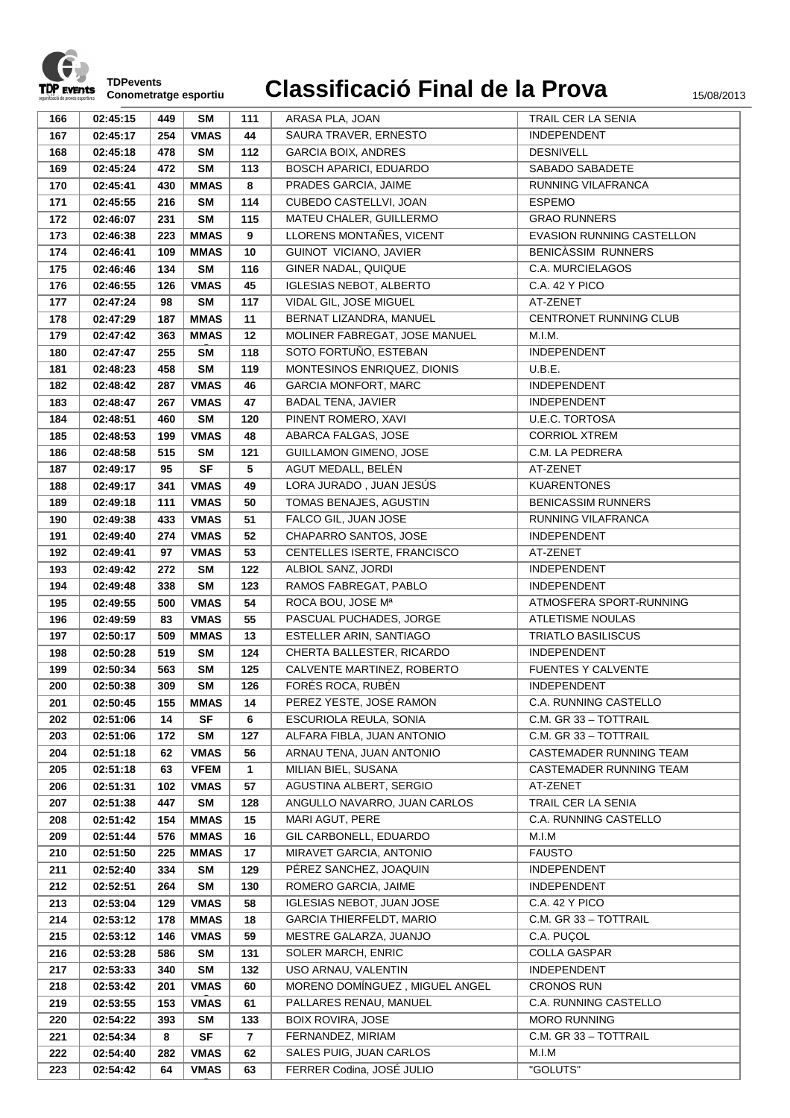

**C**

|     |          | 449 |             |              |                                 | TRAIL CER LA SENIA        |
|-----|----------|-----|-------------|--------------|---------------------------------|---------------------------|
| 166 | 02:45:15 |     | SM          | 111          | ARASA PLA, JOAN                 |                           |
| 167 | 02:45:17 | 254 | <b>VMAS</b> | 44           | SAURA TRAVER, ERNESTO           | <b>INDEPENDENT</b>        |
| 168 | 02:45:18 | 478 | SΜ          | 112          | <b>GARCIA BOIX, ANDRES</b>      | <b>DESNIVELL</b>          |
| 169 | 02:45:24 | 472 | <b>SM</b>   | 113          | <b>BOSCH APARICI, EDUARDO</b>   | SABADO SABADETE           |
| 170 | 02:45:41 | 430 | <b>MMAS</b> | 8            | PRADES GARCIA, JAIME            | RUNNING VILAFRANCA        |
| 171 | 02:45:55 | 216 | <b>SM</b>   | 114          | CUBEDO CASTELLVI, JOAN          | <b>ESPEMO</b>             |
| 172 | 02:46:07 | 231 | <b>SM</b>   | 115          | MATEU CHALER, GUILLERMO         | <b>GRAO RUNNERS</b>       |
| 173 | 02:46:38 | 223 | <b>MMAS</b> | 9            | LLORENS MONTAÑES, VICENT        | EVASION RUNNING CASTELLON |
| 174 | 02:46:41 | 109 | <b>MMAS</b> | 10           | GUINOT VICIANO, JAVIER          | BENICASSIM RUNNERS        |
| 175 | 02:46:46 | 134 | <b>SM</b>   | 116          | GINER NADAL, QUIQUE             | C.A. MURCIELAGOS          |
| 176 | 02:46:55 | 126 | <b>VMAS</b> | 45           | <b>IGLESIAS NEBOT, ALBERTO</b>  | C.A. 42 Y PICO            |
| 177 | 02:47:24 | 98  | <b>SM</b>   | 117          | VIDAL GIL, JOSE MIGUEL          | AT-ZENET                  |
| 178 | 02:47:29 | 187 | <b>MMAS</b> | 11           | BERNAT LIZANDRA, MANUEL         | CENTRONET RUNNING CLUB    |
| 179 | 02:47:42 | 363 | <b>MMAS</b> | 12           | MOLINER FABREGAT, JOSE MANUEL   | M.I.M.                    |
| 180 | 02:47:47 | 255 | <b>SM</b>   | 118          | SOTO FORTUÑO, ESTEBAN           | INDEPENDENT               |
| 181 | 02:48:23 | 458 | <b>SM</b>   | 119          | MONTESINOS ENRIQUEZ, DIONIS     | U.B.E.                    |
| 182 | 02:48:42 | 287 | <b>VMAS</b> | 46           | <b>GARCIA MONFORT, MARC</b>     | INDEPENDENT               |
| 183 | 02:48:47 | 267 | <b>VMAS</b> | 47           | <b>BADAL TENA, JAVIER</b>       | INDEPENDENT               |
| 184 | 02:48:51 | 460 | <b>SM</b>   | 120          | PINENT ROMERO, XAVI             | <b>U.E.C. TORTOSA</b>     |
| 185 | 02:48:53 | 199 | <b>VMAS</b> | 48           | ABARCA FALGAS, JOSE             | <b>CORRIOL XTREM</b>      |
| 186 | 02:48:58 | 515 | <b>SM</b>   | 121          | GUILLAMON GIMENO, JOSE          | C.M. LA PEDRERA           |
| 187 |          | 95  | <b>SF</b>   | 5            | AGUT MEDALL, BELÉN              | AT-ZENET                  |
|     | 02:49:17 |     |             |              | LORA JURADO, JUAN JESÚS         | <b>KUARENTONES</b>        |
| 188 | 02:49:17 | 341 | <b>VMAS</b> | 49           |                                 |                           |
| 189 | 02:49:18 | 111 | <b>VMAS</b> | 50           | TOMAS BENAJES, AGUSTIN          | <b>BENICASSIM RUNNERS</b> |
| 190 | 02:49:38 | 433 | <b>VMAS</b> | 51           | FALCO GIL, JUAN JOSE            | RUNNING VILAFRANCA        |
| 191 | 02:49:40 | 274 | <b>VMAS</b> | 52           | CHAPARRO SANTOS, JOSE           | INDEPENDENT               |
| 192 | 02:49:41 | 97  | <b>VMAS</b> | 53           | CENTELLES ISERTE, FRANCISCO     | AT-ZENET                  |
| 193 | 02:49:42 | 272 | <b>SM</b>   | 122          | ALBIOL SANZ, JORDI              | INDEPENDENT               |
| 194 | 02:49:48 | 338 | <b>SM</b>   | 123          | RAMOS FABREGAT, PABLO           | INDEPENDENT               |
| 195 | 02:49:55 | 500 | <b>VMAS</b> | 54           | ROCA BOU, JOSE Mª               | ATMOSFERA SPORT-RUNNING   |
| 196 | 02:49:59 | 83  | <b>VMAS</b> | 55           | PASCUAL PUCHADES, JORGE         | <b>ATLETISME NOULAS</b>   |
| 197 | 02:50:17 | 509 | <b>MMAS</b> | 13           | ESTELLER ARIN, SANTIAGO         | <b>TRIATLO BASILISCUS</b> |
| 198 | 02:50:28 | 519 | <b>SM</b>   | 124          | CHERTA BALLESTER, RICARDO       | INDEPENDENT               |
| 199 | 02:50:34 | 563 | <b>SM</b>   | 125          | CALVENTE MARTINEZ, ROBERTO      | FUENTES Y CALVENTE        |
| 200 | 02:50:38 | 309 | <b>SM</b>   | 126          | FORÉS ROCA, RUBÉN               | <b>INDEPENDENT</b>        |
| 201 | 02:50:45 | 155 | <b>MMAS</b> | 14           | PEREZ YESTE, JOSE RAMON         | C.A. RUNNING CASTELLO     |
| 202 | 02:51:06 | 14  | <b>SF</b>   | 6            | ESCURIOLA REULA, SONIA          | C.M. GR 33 - TOTTRAIL     |
| 203 | 02:51:06 | 172 | <b>SM</b>   | 127          | ALFARA FIBLA, JUAN ANTONIO      | C.M. GR 33 - TOTTRAIL     |
| 204 | 02:51:18 | 62  | <b>VMAS</b> | 56           | ARNAU TENA, JUAN ANTONIO        | CASTEMADER RUNNING TEAM   |
| 205 | 02:51:18 | 63  | <b>VFEM</b> | $\mathbf{1}$ | MILIAN BIEL, SUSANA             | CASTEMADER RUNNING TEAM   |
| 206 | 02:51:31 | 102 | <b>VMAS</b> | 57           | AGUSTINA ALBERT, SERGIO         | AT-ZENET                  |
| 207 | 02:51:38 | 447 | <b>SM</b>   | 128          | ANGULLO NAVARRO, JUAN CARLOS    | TRAIL CER LA SENIA        |
| 208 | 02:51:42 | 154 | <b>MMAS</b> | 15           | MARI AGUT, PERE                 | C.A. RUNNING CASTELLO     |
| 209 | 02:51:44 | 576 | <b>MMAS</b> | 16           | GIL CARBONELL, EDUARDO          | M.I.M                     |
| 210 | 02:51:50 | 225 | <b>MMAS</b> | 17           | MIRAVET GARCIA, ANTONIO         | <b>FAUSTO</b>             |
| 211 | 02:52:40 | 334 | SM          | 129          | PÉREZ SANCHEZ, JOAQUIN          | <b>INDEPENDENT</b>        |
| 212 | 02:52:51 | 264 | <b>SM</b>   | 130          | ROMERO GARCIA, JAIME            | INDEPENDENT               |
| 213 | 02:53:04 | 129 | <b>VMAS</b> | 58           | IGLESIAS NEBOT, JUAN JOSE       | <b>C.A. 42 Y PICO</b>     |
| 214 | 02:53:12 | 178 | <b>MMAS</b> | 18           | <b>GARCIA THIERFELDT, MARIO</b> | C.M. GR 33 - TOTTRAIL     |
| 215 | 02:53:12 | 146 | <b>VMAS</b> | 59           | MESTRE GALARZA, JUANJO          | C.A. PUÇOL                |
| 216 | 02:53:28 | 586 | SM          | 131          | SOLER MARCH, ENRIC              | <b>COLLA GASPAR</b>       |
| 217 | 02:53:33 | 340 | SM          | 132          | USO ARNAU, VALENTIN             | <b>INDEPENDENT</b>        |
|     |          |     |             |              | MORENO DOMÍNGUEZ, MIGUEL ANGEL  | <b>CRONOS RUN</b>         |
| 218 | 02:53:42 | 201 | <b>VMAS</b> | 60           |                                 |                           |
| 219 | 02:53:55 | 153 | <b>VMAS</b> | 61           | PALLARES RENAU, MANUEL          | C.A. RUNNING CASTELLO     |
| 220 | 02:54:22 | 393 | SM          | 133          | <b>BOIX ROVIRA, JOSE</b>        | <b>MORO RUNNING</b>       |
| 221 | 02:54:34 | 8   | <b>SF</b>   | 7            | FERNANDEZ, MIRIAM               | C.M. GR 33 - TOTTRAIL     |
| 222 | 02:54:40 | 282 | <b>VMAS</b> | 62           | SALES PUIG, JUAN CARLOS         | M.I.M                     |
| 223 | 02:54:42 | 64  | <b>VMAS</b> | 63           | FERRER Codina, JOSÉ JULIO       | "GOLUTS"                  |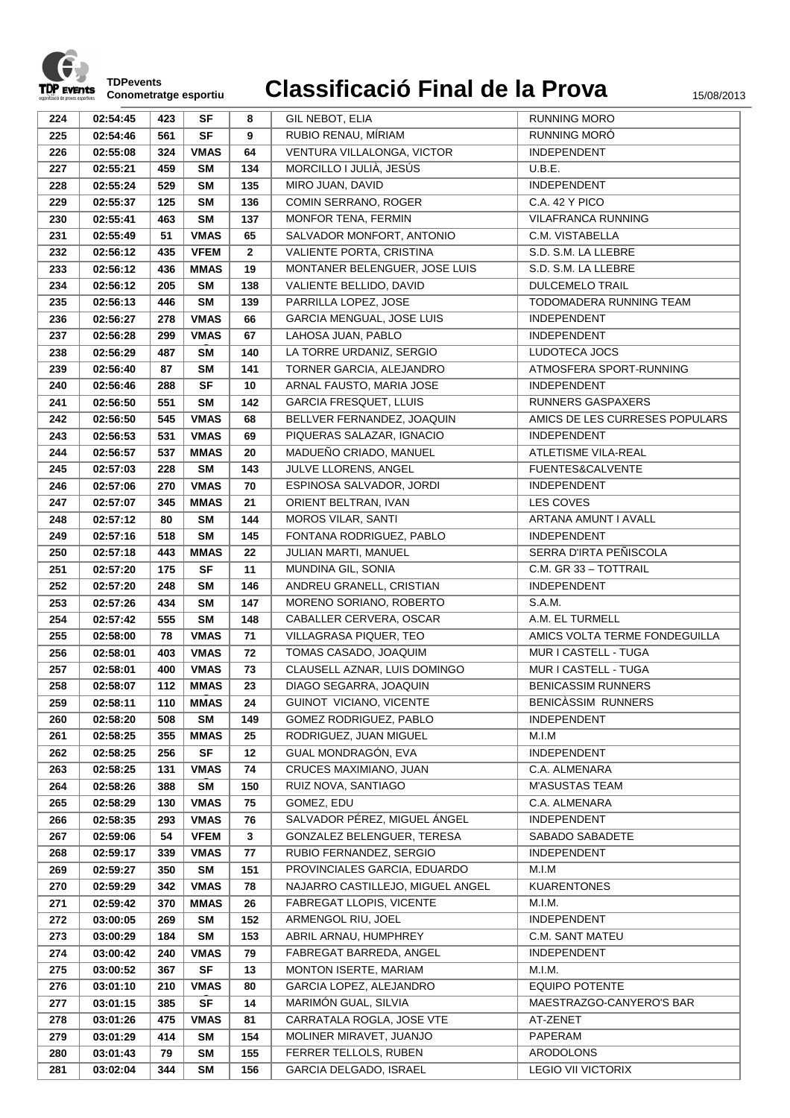

| 224 | 02:54:45 | 423 | <b>SF</b>   | 8              | GIL NEBOT, ELIA                  | <b>RUNNING MORO</b>            |
|-----|----------|-----|-------------|----------------|----------------------------------|--------------------------------|
| 225 | 02:54:46 | 561 | <b>SF</b>   | 9              | RUBIO RENAU, MÍRIAM              | <b>RUNNING MORO</b>            |
| 226 | 02:55:08 | 324 | <b>VMAS</b> | 64             | VENTURA VILLALONGA, VICTOR       | <b>INDEPENDENT</b>             |
| 227 | 02:55:21 | 459 | <b>SM</b>   | 134            | MORCILLO I JULIÀ, JESÚS          | U.B.E.                         |
| 228 | 02:55:24 | 529 | <b>SM</b>   | 135            | MIRO JUAN, DAVID                 | INDEPENDENT                    |
| 229 | 02:55:37 | 125 | <b>SM</b>   | 136            | COMIN SERRANO, ROGER             | C.A. 42 Y PICO                 |
| 230 | 02:55:41 | 463 | <b>SM</b>   | 137            | MONFOR TENA, FERMIN              | <b>VILAFRANCA RUNNING</b>      |
| 231 | 02:55:49 | 51  | <b>VMAS</b> | 65             | SALVADOR MONFORT, ANTONIO        | C.M. VISTABELLA                |
| 232 | 02:56:12 | 435 | <b>VFEM</b> | $\overline{2}$ | <b>VALIENTE PORTA, CRISTINA</b>  | S.D. S.M. LA LLEBRE            |
| 233 | 02:56:12 | 436 | <b>MMAS</b> | 19             | MONTANER BELENGUER, JOSE LUIS    | S.D. S.M. LA LLEBRE            |
| 234 | 02:56:12 | 205 | <b>SM</b>   | 138            | VALIENTE BELLIDO, DAVID          | <b>DULCEMELO TRAIL</b>         |
| 235 | 02:56:13 | 446 | <b>SM</b>   | 139            | PARRILLA LOPEZ, JOSE             | TODOMADERA RUNNING TEAM        |
| 236 | 02:56:27 | 278 | <b>VMAS</b> | 66             | GARCIA MENGUAL, JOSE LUIS        | INDEPENDENT                    |
| 237 | 02:56:28 | 299 | <b>VMAS</b> | 67             | LAHOSA JUAN, PABLO               | <b>INDEPENDENT</b>             |
| 238 | 02:56:29 | 487 | <b>SM</b>   | 140            | LA TORRE URDANIZ, SERGIO         | LUDOTECA JOCS                  |
| 239 | 02:56:40 | 87  | <b>SM</b>   | 141            | TORNER GARCIA, ALEJANDRO         | ATMOSFERA SPORT-RUNNING        |
| 240 | 02:56:46 | 288 | <b>SF</b>   | 10             | ARNAL FAUSTO, MARIA JOSE         | INDEPENDENT                    |
| 241 | 02:56:50 | 551 | <b>SM</b>   | 142            | <b>GARCIA FRESQUET, LLUIS</b>    | <b>RUNNERS GASPAXERS</b>       |
|     |          |     |             |                | BELLVER FERNANDEZ, JOAQUIN       |                                |
| 242 | 02:56:50 | 545 | <b>VMAS</b> | 68             |                                  | AMICS DE LES CURRESES POPULARS |
| 243 | 02:56:53 | 531 | <b>VMAS</b> | 69             | PIQUERAS SALAZAR, IGNACIO        | <b>INDEPENDENT</b>             |
| 244 | 02:56:57 | 537 | <b>MMAS</b> | 20             | MADUEÑO CRIADO, MANUEL           | ATLETISME VILA-REAL            |
| 245 | 02:57:03 | 228 | <b>SM</b>   | 143            | JULVE LLORENS, ANGEL             | FUENTES&CALVENTE               |
| 246 | 02:57:06 | 270 | <b>VMAS</b> | 70             | ESPINOSA SALVADOR, JORDI         | <b>INDEPENDENT</b>             |
| 247 | 02:57:07 | 345 | <b>MMAS</b> | 21             | ORIENT BELTRAN, IVAN             | LES COVES                      |
| 248 | 02:57:12 | 80  | <b>SM</b>   | 144            | <b>MOROS VILAR, SANTI</b>        | ARTANA AMUNT I AVALL           |
| 249 | 02:57:16 | 518 | <b>SM</b>   | 145            | FONTANA RODRIGUEZ, PABLO         | INDEPENDENT                    |
| 250 | 02:57:18 | 443 | <b>MMAS</b> | 22             | JULIAN MARTI, MANUEL             | SERRA D'IRTA PEÑISCOLA         |
| 251 | 02:57:20 | 175 | <b>SF</b>   | 11             | MUNDINA GIL, SONIA               | C.M. GR 33 - TOTTRAIL          |
| 252 | 02:57:20 | 248 | <b>SM</b>   | 146            | ANDREU GRANELL, CRISTIAN         | INDEPENDENT                    |
| 253 | 02:57:26 | 434 | <b>SM</b>   | 147            | MORENO SORIANO, ROBERTO          | S.A.M.                         |
| 254 | 02:57:42 | 555 | <b>SM</b>   | 148            | CABALLER CERVERA, OSCAR          | A.M. EL TURMELL                |
| 255 | 02:58:00 | 78  | <b>VMAS</b> | 71             | VILLAGRASA PIQUER, TEO           | AMICS VOLTA TERME FONDEGUILLA  |
| 256 | 02:58:01 | 403 | <b>VMAS</b> | 72             | TOMAS CASADO, JOAQUIM            | MUR I CASTELL - TUGA           |
| 257 | 02:58:01 | 400 | <b>VMAS</b> | 73             | CLAUSELL AZNAR, LUIS DOMINGO     | MUR I CASTELL - TUGA           |
| 258 | 02:58:07 | 112 | <b>MMAS</b> | 23             | DIAGO SEGARRA, JOAQUIN           | <b>BENICASSIM RUNNERS</b>      |
| 259 | 02:58:11 | 110 | <b>MMAS</b> | 24             | GUINOT VICIANO, VICENTE          | <b>BENICASSIM RUNNERS</b>      |
| 260 | 02:58:20 | 508 | <b>SM</b>   | 149            | GOMEZ RODRIGUEZ, PABLO           | <b>INDEPENDENT</b>             |
| 261 | 02:58:25 | 355 | <b>MMAS</b> | 25             | RODRIGUEZ, JUAN MIGUEL           | M.I.M                          |
| 262 | 02:58:25 | 256 | <b>SF</b>   | 12             | GUAL MONDRAGÓN, EVA              | INDEPENDENT                    |
| 263 | 02:58:25 | 131 | <b>VMAS</b> | 74             | CRUCES MAXIMIANO, JUAN           | C.A. ALMENARA                  |
| 264 | 02:58:26 | 388 | <b>SM</b>   | 150            | RUIZ NOVA, SANTIAGO              | <b>M'ASUSTAS TEAM</b>          |
| 265 | 02:58:29 | 130 | <b>VMAS</b> | 75             | GOMEZ, EDU                       | C.A. ALMENARA                  |
| 266 | 02:58:35 | 293 | <b>VMAS</b> | 76             | SALVADOR PÉREZ, MIGUEL ÁNGEL     | <b>INDEPENDENT</b>             |
| 267 | 02:59:06 | 54  | <b>VFEM</b> | $\mathbf{3}$   | GONZALEZ BELENGUER, TERESA       | SABADO SABADETE                |
| 268 | 02:59:17 | 339 | <b>VMAS</b> | 77             | RUBIO FERNANDEZ, SERGIO          | <b>INDEPENDENT</b>             |
| 269 | 02:59:27 | 350 | <b>SM</b>   | 151            | PROVINCIALES GARCIA, EDUARDO     | M.I.M                          |
| 270 | 02:59:29 | 342 | <b>VMAS</b> | 78             | NAJARRO CASTILLEJO, MIGUEL ANGEL | <b>KUARENTONES</b>             |
| 271 | 02:59:42 | 370 | <b>MMAS</b> | 26             | FABREGAT LLOPIS, VICENTE         | M.I.M.                         |
| 272 | 03:00:05 | 269 | SM          | 152            | ARMENGOL RIU, JOEL               | INDEPENDENT                    |
| 273 | 03:00:29 | 184 | <b>SM</b>   | 153            | ABRIL ARNAU, HUMPHREY            | C.M. SANT MATEU                |
| 274 | 03:00:42 | 240 | <b>VMAS</b> | 79             | FABREGAT BARREDA, ANGEL          | <b>INDEPENDENT</b>             |
| 275 | 03:00:52 | 367 | <b>SF</b>   | 13             | MONTON ISERTE, MARIAM            | M.I.M.                         |
| 276 | 03:01:10 | 210 | <b>VMAS</b> | 80             | GARCIA LOPEZ, ALEJANDRO          | <b>EQUIPO POTENTE</b>          |
| 277 | 03:01:15 | 385 | <b>SF</b>   | 14             | MARIMÓN GUAL, SILVIA             | MAESTRAZGO-CANYERO'S BAR       |
| 278 | 03:01:26 | 475 | <b>VMAS</b> | 81             | CARRATALA ROGLA, JOSE VTE        | AT-ZENET                       |
| 279 | 03:01:29 | 414 | SM          | 154            | MOLINER MIRAVET, JUANJO          | PAPERAM                        |
| 280 | 03:01:43 | 79  | SM          | 155            | FERRER TELLOLS, RUBEN            | ARODOLONS                      |
| 281 | 03:02:04 | 344 | <b>SM</b>   | 156            | GARCIA DELGADO, ISRAEL           | <b>LEGIO VII VICTORIX</b>      |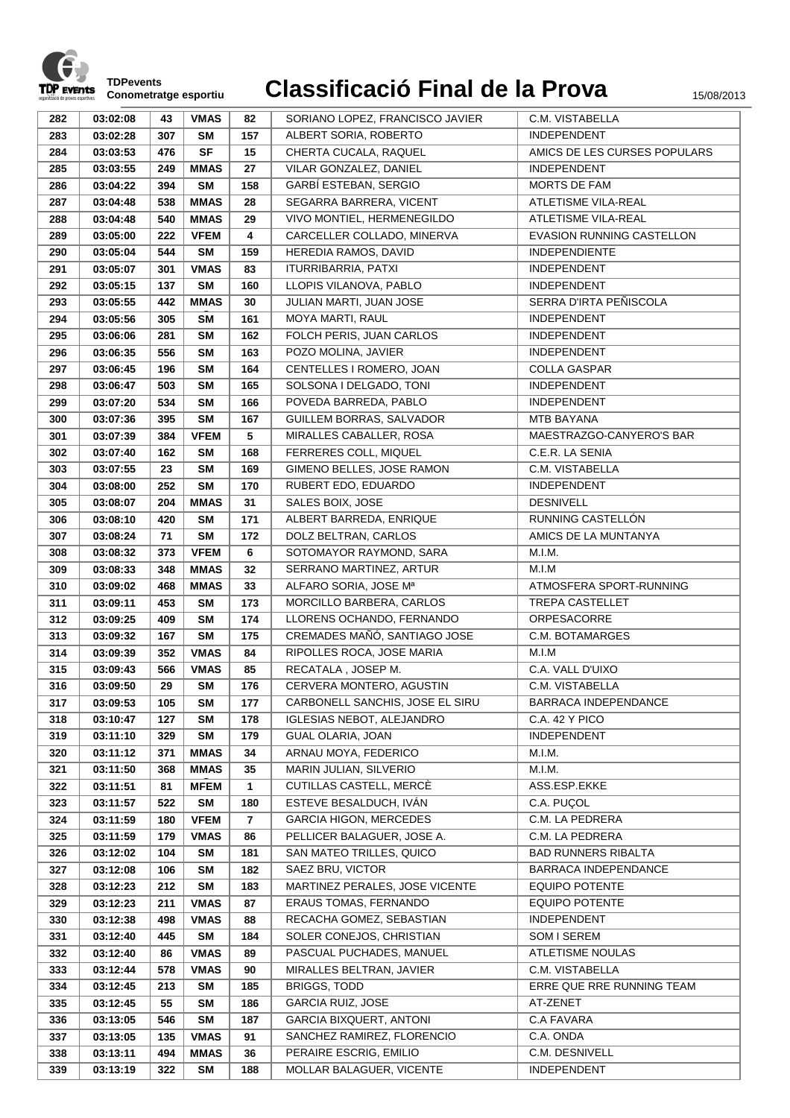

| 282 | 03:02:08 | 43  | <b>VMAS</b> | 82             | SORIANO LOPEZ, FRANCISCO JAVIER  | C.M. VISTABELLA              |
|-----|----------|-----|-------------|----------------|----------------------------------|------------------------------|
| 283 | 03:02:28 | 307 | <b>SM</b>   | 157            | ALBERT SORIA, ROBERTO            | INDEPENDENT                  |
| 284 | 03:03:53 | 476 | <b>SF</b>   | 15             | CHERTA CUCALA, RAQUEL            | AMICS DE LES CURSES POPULARS |
| 285 | 03:03:55 | 249 | <b>MMAS</b> | 27             | VILAR GONZALEZ, DANIEL           | <b>INDEPENDENT</b>           |
| 286 | 03:04:22 | 394 | <b>SM</b>   | 158            | GARBÍ ESTEBAN, SERGIO            | MORTS DE FAM                 |
| 287 | 03:04:48 | 538 | <b>MMAS</b> | 28             | SEGARRA BARRERA, VICENT          | <b>ATLETISME VILA-REAL</b>   |
| 288 | 03:04:48 | 540 | <b>MMAS</b> | 29             | VIVO MONTIEL, HERMENEGILDO       | ATLETISME VILA-REAL          |
| 289 | 03:05:00 | 222 | <b>VFEM</b> | 4              | CARCELLER COLLADO, MINERVA       | EVASION RUNNING CASTELLON    |
| 290 | 03:05:04 | 544 | <b>SM</b>   | 159            | HEREDIA RAMOS, DAVID             | <b>INDEPENDIENTE</b>         |
| 291 | 03:05:07 | 301 | <b>VMAS</b> | 83             | ITURRIBARRIA, PATXI              | <b>INDEPENDENT</b>           |
| 292 | 03:05:15 | 137 | <b>SM</b>   | 160            | LLOPIS VILANOVA, PABLO           | <b>INDEPENDENT</b>           |
| 293 | 03:05:55 | 442 | <b>MMAS</b> | 30             | JULIAN MARTI, JUAN JOSE          | SERRA D'IRTA PEÑISCOLA       |
| 294 | 03:05:56 | 305 | <b>SM</b>   | 161            | MOYA MARTI, RAUL                 | <b>INDEPENDENT</b>           |
| 295 | 03:06:06 | 281 | <b>SM</b>   | 162            | FOLCH PERIS, JUAN CARLOS         | <b>INDEPENDENT</b>           |
| 296 | 03:06:35 | 556 | <b>SM</b>   | 163            | POZO MOLINA, JAVIER              | <b>INDEPENDENT</b>           |
| 297 | 03:06:45 | 196 | <b>SM</b>   | 164            | CENTELLES I ROMERO, JOAN         | <b>COLLA GASPAR</b>          |
| 298 | 03:06:47 | 503 | <b>SM</b>   | 165            | SOLSONA I DELGADO, TONI          | INDEPENDENT                  |
| 299 | 03:07:20 | 534 | <b>SM</b>   | 166            | POVEDA BARREDA, PABLO            | <b>INDEPENDENT</b>           |
| 300 | 03:07:36 | 395 | <b>SM</b>   | 167            | GUILLEM BORRAS, SALVADOR         | <b>MTB BAYANA</b>            |
| 301 | 03:07:39 | 384 | <b>VFEM</b> | 5              | MIRALLES CABALLER, ROSA          | MAESTRAZGO-CANYERO'S BAR     |
| 302 | 03:07:40 | 162 | <b>SM</b>   | 168            | FERRERES COLL, MIQUEL            | C.E.R. LA SENIA              |
| 303 | 03:07:55 | 23  | <b>SM</b>   | 169            | GIMENO BELLES, JOSE RAMON        | C.M. VISTABELLA              |
| 304 | 03:08:00 | 252 | <b>SM</b>   | 170            | RUBERT EDO, EDUARDO              | <b>INDEPENDENT</b>           |
| 305 | 03:08:07 | 204 | <b>MMAS</b> | 31             | SALES BOIX, JOSE                 | <b>DESNIVELL</b>             |
| 306 | 03:08:10 | 420 | <b>SM</b>   | 171            | ALBERT BARREDA, ENRIQUE          | RUNNING CASTELLÓN            |
| 307 | 03:08:24 | 71  | <b>SM</b>   | 172            | DOLZ BELTRAN, CARLOS             | AMICS DE LA MUNTANYA         |
| 308 | 03:08:32 | 373 | <b>VFEM</b> | 6              | SOTOMAYOR RAYMOND, SARA          | M.I.M.                       |
| 309 | 03:08:33 | 348 | <b>MMAS</b> | 32             | SERRANO MARTINEZ, ARTUR          | M.I.M                        |
| 310 | 03:09:02 | 468 | <b>MMAS</b> | 33             | ALFARO SORIA, JOSE Mª            | ATMOSFERA SPORT-RUNNING      |
| 311 | 03:09:11 | 453 | <b>SM</b>   | 173            | MORCILLO BARBERA, CARLOS         | <b>TREPA CASTELLET</b>       |
| 312 | 03:09:25 | 409 | <b>SM</b>   | 174            | LLORENS OCHANDO, FERNANDO        | ORPESACORRE                  |
| 313 | 03:09:32 | 167 | <b>SM</b>   | 175            | CREMADES MAÑÓ, SANTIAGO JOSE     | C.M. BOTAMARGES              |
| 314 | 03:09:39 | 352 | <b>VMAS</b> | 84             | RIPOLLES ROCA, JOSE MARIA        | M.I.M                        |
| 315 | 03:09:43 | 566 | <b>VMAS</b> | 85             | RECATALA, JOSEP M.               | C.A. VALL D'UIXO             |
| 316 | 03:09:50 | 29  | <b>SM</b>   | 176            | CERVERA MONTERO, AGUSTIN         | C.M. VISTABELLA              |
| 317 | 03:09:53 | 105 | SM          | 177            | CARBONELL SANCHIS, JOSE EL SIRU  | BARRACA INDEPENDANCE         |
| 318 | 03:10:47 | 127 | <b>SM</b>   | 178            | <b>IGLESIAS NEBOT, ALEJANDRO</b> | C.A. 42 Y PICO               |
| 319 | 03:11:10 | 329 | <b>SM</b>   | 179            | <b>GUAL OLARIA, JOAN</b>         | INDEPENDENT                  |
| 320 | 03:11:12 | 371 | <b>MMAS</b> | 34             | ARNAU MOYA, FEDERICO             | M.I.M.                       |
| 321 | 03:11:50 | 368 | <b>MMAS</b> | 35             | MARIN JULIAN, SILVERIO           | M.I.M.                       |
| 322 | 03:11:51 | 81  | <b>MFEM</b> | $\mathbf{1}$   | CUTILLAS CASTELL, MERCÈ          | ASS.ESP.EKKE                 |
| 323 | 03:11:57 | 522 | <b>SM</b>   | 180            | ESTEVE BESALDUCH, IVÁN           | C.A. PUÇOL                   |
| 324 | 03:11:59 | 180 | <b>VFEM</b> | $\overline{7}$ | <b>GARCIA HIGON, MERCEDES</b>    | C.M. LA PEDRERA              |
| 325 | 03:11:59 | 179 | <b>VMAS</b> | 86             | PELLICER BALAGUER. JOSE A.       | C.M. LA PEDRERA              |
| 326 | 03:12:02 | 104 | <b>SM</b>   | 181            | SAN MATEO TRILLES, QUICO         | <b>BAD RUNNERS RIBALTA</b>   |
| 327 | 03:12:08 | 106 | <b>SM</b>   | 182            | SAEZ BRU, VICTOR                 | BARRACA INDEPENDANCE         |
| 328 | 03:12:23 | 212 | <b>SM</b>   | 183            | MARTINEZ PERALES, JOSE VICENTE   | <b>EQUIPO POTENTE</b>        |
| 329 | 03:12:23 | 211 | <b>VMAS</b> | 87             | <b>ERAUS TOMAS, FERNANDO</b>     | <b>EQUIPO POTENTE</b>        |
| 330 | 03:12:38 | 498 | <b>VMAS</b> | 88             | RECACHA GOMEZ, SEBASTIAN         | <b>INDEPENDENT</b>           |
| 331 | 03:12:40 | 445 | <b>SM</b>   | 184            | SOLER CONEJOS, CHRISTIAN         | SOM I SEREM                  |
| 332 | 03:12:40 | 86  | <b>VMAS</b> | 89             | PASCUAL PUCHADES, MANUEL         | ATLETISME NOULAS             |
| 333 | 03:12:44 | 578 | <b>VMAS</b> | 90             | MIRALLES BELTRAN, JAVIER         | C.M. VISTABELLA              |
| 334 | 03:12:45 | 213 | <b>SM</b>   | 185            | <b>BRIGGS, TODD</b>              | ERRE QUE RRE RUNNING TEAM    |
| 335 | 03:12:45 | 55  | <b>SM</b>   | 186            | <b>GARCIA RUIZ, JOSE</b>         | AT-ZENET                     |
| 336 | 03:13:05 | 546 | <b>SM</b>   | 187            | <b>GARCIA BIXQUERT, ANTONI</b>   | C.A FAVARA                   |
| 337 | 03:13:05 | 135 | <b>VMAS</b> | 91             | SANCHEZ RAMIREZ, FLORENCIO       | C.A. ONDA                    |
| 338 | 03:13:11 | 494 | <b>MMAS</b> | 36             | PERAIRE ESCRIG, EMILIO           | C.M. DESNIVELL               |
| 339 | 03:13:19 | 322 | <b>SM</b>   | 188            | MOLLAR BALAGUER, VICENTE         | INDEPENDENT                  |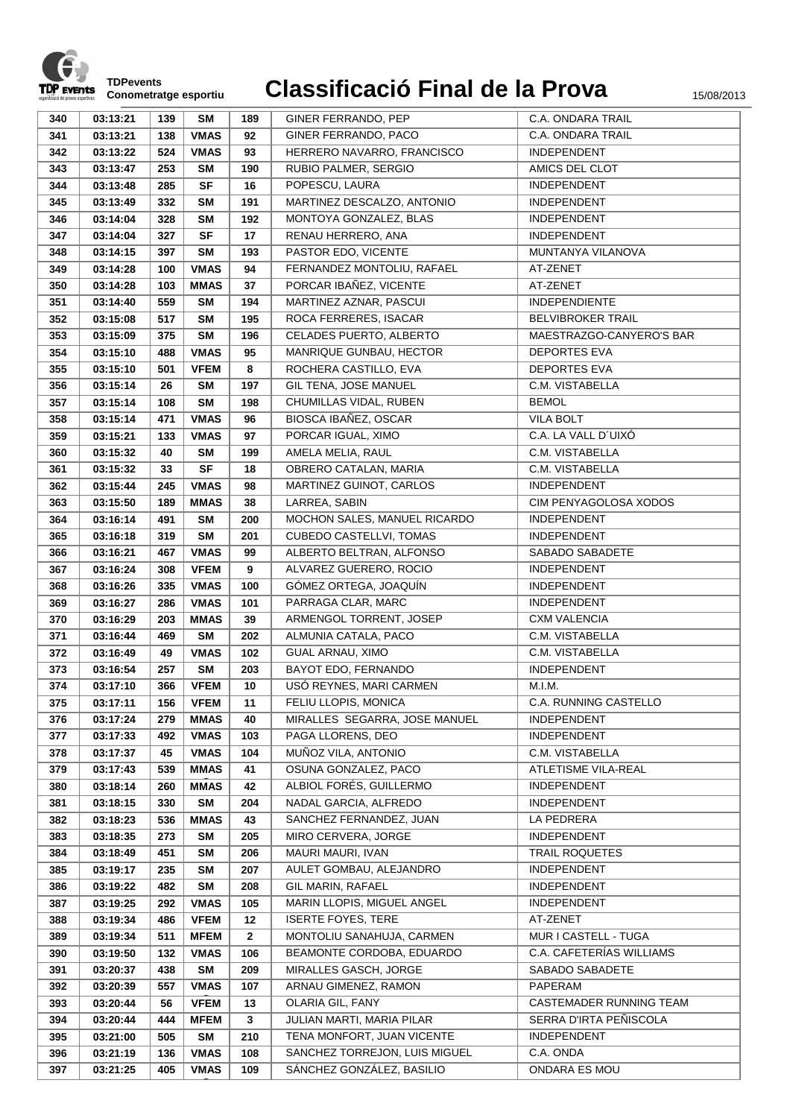

**C**

| 340 | 03:13:21 | 139 | <b>SM</b>   | 189          | GINER FERRANDO, PEP            | C.A. ONDARA TRAIL        |
|-----|----------|-----|-------------|--------------|--------------------------------|--------------------------|
| 341 | 03:13:21 | 138 | <b>VMAS</b> | 92           | GINER FERRANDO, PACO           | C.A. ONDARA TRAIL        |
| 342 | 03:13:22 | 524 | <b>VMAS</b> | 93           | HERRERO NAVARRO, FRANCISCO     | <b>INDEPENDENT</b>       |
| 343 | 03:13:47 | 253 | <b>SM</b>   | 190          | RUBIO PALMER, SERGIO           | AMICS DEL CLOT           |
| 344 | 03:13:48 | 285 | <b>SF</b>   | 16           | POPESCU, LAURA                 | <b>INDEPENDENT</b>       |
| 345 | 03:13:49 | 332 | <b>SM</b>   | 191          | MARTINEZ DESCALZO, ANTONIO     | <b>INDEPENDENT</b>       |
| 346 | 03:14:04 | 328 | <b>SM</b>   | 192          | MONTOYA GONZALEZ, BLAS         | <b>INDEPENDENT</b>       |
| 347 | 03:14:04 | 327 | SF          | 17           | RENAU HERRERO, ANA             | INDEPENDENT              |
| 348 | 03:14:15 | 397 | <b>SM</b>   | 193          | PASTOR EDO, VICENTE            | MUNTANYA VILANOVA        |
| 349 | 03:14:28 | 100 | <b>VMAS</b> | 94           | FERNANDEZ MONTOLIU, RAFAEL     | AT-ZENET                 |
| 350 | 03:14:28 | 103 | <b>MMAS</b> | 37           | PORCAR IBAÑEZ, VICENTE         | AT-ZENET                 |
| 351 | 03:14:40 | 559 | <b>SM</b>   | 194          | MARTINEZ AZNAR, PASCUI         | <b>INDEPENDIENTE</b>     |
| 352 | 03:15:08 | 517 | <b>SM</b>   | 195          | ROCA FERRERES, ISACAR          | <b>BELVIBROKER TRAIL</b> |
| 353 | 03:15:09 | 375 | <b>SM</b>   | 196          | CELADES PUERTO, ALBERTO        | MAESTRAZGO-CANYERO'S BAR |
| 354 | 03:15:10 | 488 | <b>VMAS</b> | 95           | MANRIQUE GUNBAU, HECTOR        | <b>DEPORTES EVA</b>      |
| 355 | 03:15:10 | 501 | <b>VFEM</b> | 8            | ROCHERA CASTILLO, EVA          | <b>DEPORTES EVA</b>      |
| 356 | 03:15:14 | 26  | <b>SM</b>   | 197          | GIL TENA, JOSE MANUEL          | C.M. VISTABELLA          |
| 357 | 03:15:14 | 108 | <b>SM</b>   | 198          | CHUMILLAS VIDAL, RUBEN         | <b>BEMOL</b>             |
| 358 | 03:15:14 | 471 | <b>VMAS</b> | 96           | BIOSCA IBAÑEZ, OSCAR           | <b>VILA BOLT</b>         |
| 359 | 03:15:21 | 133 | <b>VMAS</b> | 97           | PORCAR IGUAL, XIMO             | C.A. LA VALL D'UIXÓ      |
| 360 | 03:15:32 | 40  | <b>SM</b>   | 199          | AMELA MELIA, RAUL              | C.M. VISTABELLA          |
| 361 | 03:15:32 | 33  | <b>SF</b>   | 18           | OBRERO CATALAN, MARIA          | C.M. VISTABELLA          |
| 362 | 03:15:44 | 245 | <b>VMAS</b> | 98           | MARTINEZ GUINOT, CARLOS        | INDEPENDENT              |
| 363 | 03:15:50 | 189 | <b>MMAS</b> | 38           | LARREA, SABIN                  | CIM PENYAGOLOSA XODOS    |
| 364 | 03:16:14 | 491 | <b>SM</b>   | 200          | MOCHON SALES, MANUEL RICARDO   | <b>INDEPENDENT</b>       |
| 365 | 03:16:18 | 319 | <b>SM</b>   | 201          | <b>CUBEDO CASTELLVI, TOMAS</b> | <b>INDEPENDENT</b>       |
| 366 | 03:16:21 | 467 | <b>VMAS</b> | 99           | ALBERTO BELTRAN, ALFONSO       | SABADO SABADETE          |
| 367 | 03:16:24 | 308 | <b>VFEM</b> | 9            | ALVAREZ GUERERO, ROCIO         | INDEPENDENT              |
| 368 | 03:16:26 | 335 | <b>VMAS</b> | 100          | GÓMEZ ORTEGA, JOAQUÍN          | <b>INDEPENDENT</b>       |
| 369 | 03:16:27 | 286 | <b>VMAS</b> | 101          | PARRAGA CLAR, MARC             | <b>INDEPENDENT</b>       |
| 370 | 03:16:29 | 203 | <b>MMAS</b> | 39           | ARMENGOL TORRENT, JOSEP        | <b>CXM VALENCIA</b>      |
| 371 | 03:16:44 | 469 | <b>SM</b>   | 202          | ALMUNIA CATALA, PACO           | C.M. VISTABELLA          |
| 372 | 03:16:49 | 49  | <b>VMAS</b> | 102          | GUAL ARNAU, XIMO               | C.M. VISTABELLA          |
| 373 | 03:16:54 | 257 | <b>SM</b>   | 203          | BAYOT EDO, FERNANDO            | INDEPENDENT              |
| 374 | 03:17:10 | 366 | <b>VFEM</b> | 10           | USÓ REYNES, MARI CARMEN        | M.I.M.                   |
| 375 | 03:17:11 | 156 | <b>VFEM</b> | 11           | FELIU LLOPIS, MONICA           | C.A. RUNNING CASTELLO    |
| 376 | 03:17:24 | 279 | <b>MMAS</b> | 40           | MIRALLES SEGARRA, JOSE MANUEL  | INDEPENDENT              |
| 377 | 03:17:33 | 492 | <b>VMAS</b> | 103          | PAGA LLORENS, DEO              | INDEPENDENT              |
| 378 | 03:17:37 | 45  | <b>VMAS</b> | 104          | MUÑOZ VILA, ANTONIO            | C.M. VISTABELLA          |
| 379 | 03:17:43 | 539 | <b>MMAS</b> | 41           | OSUNA GONZALEZ, PACO           | ATLETISME VILA-REAL      |
| 380 | 03:18:14 | 260 | <b>MMAS</b> | 42           | ALBIOL FORÉS, GUILLERMO        | <b>INDEPENDENT</b>       |
| 381 | 03:18:15 | 330 | <b>SM</b>   | 204          | NADAL GARCIA, ALFREDO          | INDEPENDENT              |
| 382 | 03:18:23 | 536 | <b>MMAS</b> | 43           | SANCHEZ FERNANDEZ, JUAN        | LA PEDRERA               |
| 383 | 03:18:35 | 273 | <b>SM</b>   | 205          | MIRO CERVERA, JORGE            | <b>INDEPENDENT</b>       |
| 384 | 03:18:49 | 451 | <b>SM</b>   | 206          | MAURI MAURI, IVAN              | TRAIL ROQUETES           |
| 385 | 03:19:17 | 235 | <b>SM</b>   | 207          | AULET GOMBAU, ALEJANDRO        | INDEPENDENT              |
| 386 | 03:19:22 | 482 | <b>SM</b>   | 208          | GIL MARIN, RAFAEL              | INDEPENDENT              |
| 387 | 03:19:25 | 292 | <b>VMAS</b> | 105          | MARIN LLOPIS, MIGUEL ANGEL     | INDEPENDENT              |
| 388 | 03:19:34 | 486 | <b>VFEM</b> | 12           | <b>ISERTE FOYES, TERE</b>      | AT-ZENET                 |
| 389 | 03:19:34 | 511 | <b>MFEM</b> | $\mathbf{2}$ | MONTOLIU SANAHUJA, CARMEN      | MUR I CASTELL - TUGA     |
| 390 | 03:19:50 | 132 | <b>VMAS</b> | 106          | BEAMONTE CORDOBA, EDUARDO      | C.A. CAFETERÍAS WILLIAMS |
| 391 | 03:20:37 | 438 | <b>SM</b>   | 209          | MIRALLES GASCH, JORGE          | SABADO SABADETE          |
| 392 | 03:20:39 | 557 | <b>VMAS</b> | 107          | ARNAU GIMENEZ, RAMON           | PAPERAM                  |
| 393 | 03:20:44 | 56  | <b>VFEM</b> | 13           | OLARIA GIL, FANY               | CASTEMADER RUNNING TEAM  |
| 394 | 03:20:44 | 444 | <b>MFEM</b> | 3            | JULIAN MARTI, MARIA PILAR      | SERRA D'IRTA PEÑISCOLA   |
| 395 | 03:21:00 | 505 | <b>SM</b>   | 210          | TENA MONFORT, JUAN VICENTE     | INDEPENDENT              |
| 396 | 03:21:19 | 136 | <b>VMAS</b> | 108          | SANCHEZ TORREJON, LUIS MIGUEL  | C.A. ONDA                |
| 397 | 03:21:25 | 405 | <b>VMAS</b> | 109          | SÁNCHEZ GONZÁLEZ, BASILIO      | ONDARA ES MOU            |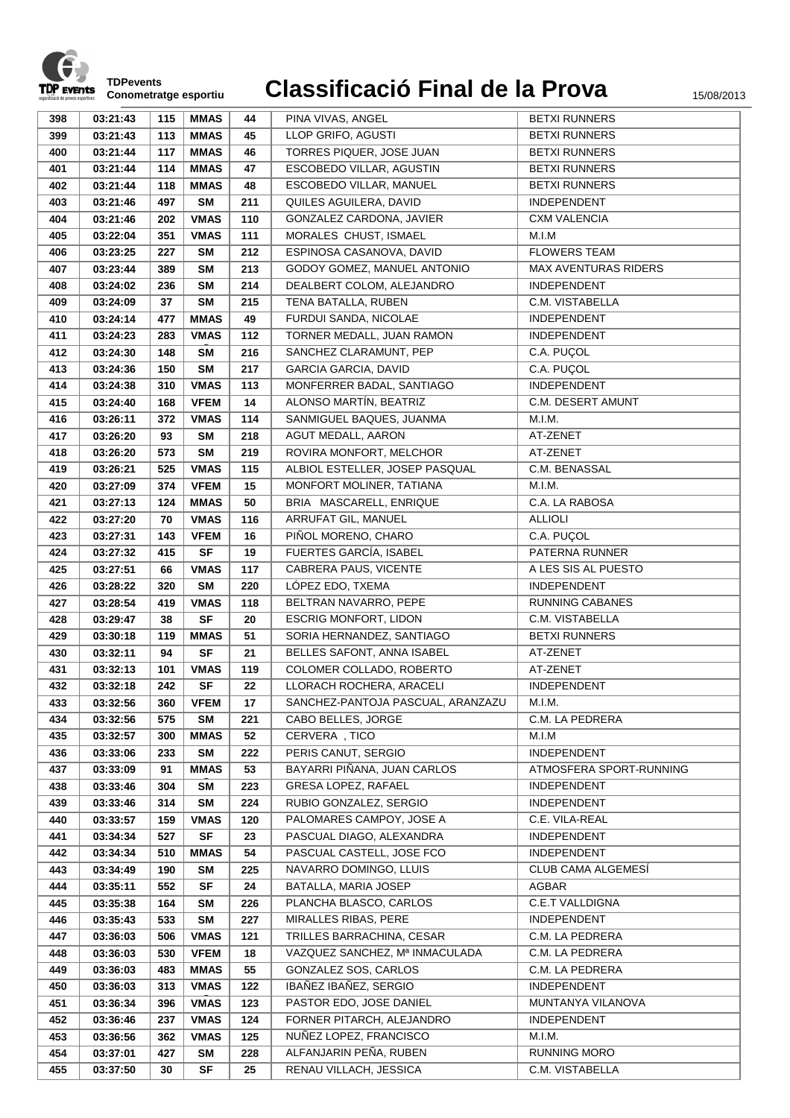

| 398 | 03:21:43 | 115 | <b>MMAS</b> | 44  | PINA VIVAS, ANGEL                 | <b>BETXI RUNNERS</b>        |
|-----|----------|-----|-------------|-----|-----------------------------------|-----------------------------|
| 399 | 03:21:43 | 113 | <b>MMAS</b> | 45  | LLOP GRIFO, AGUSTI                | <b>BETXI RUNNERS</b>        |
| 400 | 03:21:44 | 117 | <b>MMAS</b> | 46  | TORRES PIQUER, JOSE JUAN          | <b>BETXI RUNNERS</b>        |
| 401 | 03:21:44 | 114 | <b>MMAS</b> | 47  | ESCOBEDO VILLAR, AGUSTIN          | <b>BETXI RUNNERS</b>        |
| 402 | 03:21:44 | 118 | <b>MMAS</b> | 48  | ESCOBEDO VILLAR, MANUEL           | <b>BETXI RUNNERS</b>        |
| 403 | 03:21:46 | 497 | <b>SM</b>   | 211 | QUILES AGUILERA, DAVID            | INDEPENDENT                 |
| 404 | 03:21:46 | 202 | <b>VMAS</b> | 110 | GONZALEZ CARDONA, JAVIER          | <b>CXM VALENCIA</b>         |
| 405 | 03:22:04 | 351 | <b>VMAS</b> | 111 | MORALES CHUST, ISMAEL             | M.I.M                       |
| 406 | 03:23:25 | 227 | <b>SM</b>   | 212 | ESPINOSA CASANOVA, DAVID          | <b>FLOWERS TEAM</b>         |
| 407 | 03:23:44 | 389 | <b>SM</b>   | 213 | GODOY GOMEZ, MANUEL ANTONIO       | <b>MAX AVENTURAS RIDERS</b> |
| 408 | 03:24:02 | 236 | <b>SM</b>   | 214 | DEALBERT COLOM, ALEJANDRO         | <b>INDEPENDENT</b>          |
| 409 | 03:24:09 | 37  | <b>SM</b>   | 215 | TENA BATALLA, RUBEN               | C.M. VISTABELLA             |
| 410 | 03:24:14 | 477 | <b>MMAS</b> | 49  | FURDUI SANDA, NICOLAE             | INDEPENDENT                 |
| 411 | 03:24:23 | 283 | <b>VMAS</b> | 112 | TORNER MEDALL, JUAN RAMON         | INDEPENDENT                 |
| 412 | 03:24:30 | 148 | <b>SM</b>   | 216 | SANCHEZ CLARAMUNT, PEP            | C.A. PUÇOL                  |
| 413 | 03:24:36 | 150 | <b>SM</b>   | 217 | <b>GARCIA GARCIA, DAVID</b>       | C.A. PUÇOL                  |
| 414 | 03:24:38 |     | <b>VMAS</b> | 113 | MONFERRER BADAL, SANTIAGO         | <b>INDEPENDENT</b>          |
|     |          | 310 |             |     |                                   | C.M. DESERT AMUNT           |
| 415 | 03:24:40 | 168 | <b>VFEM</b> | 14  | ALONSO MARTÍN, BEATRIZ            |                             |
| 416 | 03:26:11 | 372 | <b>VMAS</b> | 114 | SANMIGUEL BAQUES, JUANMA          | M.I.M.                      |
| 417 | 03:26:20 | 93  | <b>SM</b>   | 218 | AGUT MEDALL, AARON                | AT-ZENET                    |
| 418 | 03:26:20 | 573 | <b>SM</b>   | 219 | ROVIRA MONFORT, MELCHOR           | AT-ZENET                    |
| 419 | 03:26:21 | 525 | <b>VMAS</b> | 115 | ALBIOL ESTELLER, JOSEP PASQUAL    | C.M. BENASSAL               |
| 420 | 03:27:09 | 374 | <b>VFEM</b> | 15  | MONFORT MOLINER, TATIANA          | M.I.M.                      |
| 421 | 03:27:13 | 124 | <b>MMAS</b> | 50  | BRIA MASCARELL, ENRIQUE           | C.A. LA RABOSA              |
| 422 | 03:27:20 | 70  | <b>VMAS</b> | 116 | ARRUFAT GIL, MANUEL               | <b>ALLIOLI</b>              |
| 423 | 03:27:31 | 143 | <b>VFEM</b> | 16  | PIÑOL MORENO, CHARO               | C.A. PUÇOL                  |
| 424 | 03:27:32 | 415 | <b>SF</b>   | 19  | FUERTES GARCÍA, ISABEL            | PATERNA RUNNER              |
| 425 | 03:27:51 | 66  | <b>VMAS</b> | 117 | CABRERA PAUS, VICENTE             | A LES SIS AL PUESTO         |
| 426 | 03:28:22 | 320 | <b>SM</b>   | 220 | LÓPEZ EDO, TXEMA                  | <b>INDEPENDENT</b>          |
| 427 | 03:28:54 | 419 | <b>VMAS</b> | 118 | BELTRAN NAVARRO, PEPE             | RUNNING CABANES             |
| 428 | 03:29:47 | 38  | <b>SF</b>   | 20  | <b>ESCRIG MONFORT, LIDON</b>      | C.M. VISTABELLA             |
| 429 | 03:30:18 | 119 | <b>MMAS</b> | 51  | SORIA HERNANDEZ, SANTIAGO         | <b>BETXI RUNNERS</b>        |
| 430 | 03:32:11 | 94  | <b>SF</b>   | 21  | BELLES SAFONT, ANNA ISABEL        | AT-ZENET                    |
| 431 | 03:32:13 | 101 | <b>VMAS</b> | 119 | COLOMER COLLADO, ROBERTO          | AT-ZENET                    |
| 432 | 03:32:18 | 242 | <b>SF</b>   | 22  | LLORACH ROCHERA, ARACELI          | INDEPENDENT                 |
| 433 | 03:32:56 | 360 | <b>VFEM</b> | 17  | SANCHEZ-PANTOJA PASCUAL, ARANZAZU | M.I.M.                      |
| 434 | 03:32:56 | 575 | <b>SM</b>   | 221 | CABO BELLES, JORGE                | C.M. LA PEDRERA             |
| 435 | 03:32:57 | 300 | <b>MMAS</b> | 52  | CERVERA, TICO                     | M.I.M                       |
| 436 | 03:33:06 | 233 | <b>SM</b>   | 222 | PERIS CANUT, SERGIO               | <b>INDEPENDENT</b>          |
| 437 | 03:33:09 | 91  | <b>MMAS</b> | 53  | BAYARRI PIÑANA, JUAN CARLOS       | ATMOSFERA SPORT-RUNNING     |
| 438 | 03:33:46 | 304 | SM          | 223 | GRESA LOPEZ, RAFAEL               | INDEPENDENT                 |
| 439 | 03:33:46 | 314 | SM          | 224 | RUBIO GONZALEZ, SERGIO            | INDEPENDENT                 |
| 440 | 03:33:57 | 159 | <b>VMAS</b> | 120 | PALOMARES CAMPOY, JOSE A          | C.E. VILA-REAL              |
| 441 | 03:34:34 | 527 | <b>SF</b>   | 23  | PASCUAL DIAGO, ALEXANDRA          | <b>INDEPENDENT</b>          |
| 442 | 03:34:34 | 510 | <b>MMAS</b> | 54  | PASCUAL CASTELL, JOSE FCO         | <b>INDEPENDENT</b>          |
| 443 | 03:34:49 | 190 | <b>SM</b>   | 225 | NAVARRO DOMINGO, LLUIS            | CLUB CAMA ALGEMESÍ          |
| 444 | 03:35:11 | 552 | <b>SF</b>   | 24  | BATALLA, MARIA JOSEP              | AGBAR                       |
| 445 | 03:35:38 | 164 | SM          | 226 | PLANCHA BLASCO, CARLOS            | <b>C.E.T VALLDIGNA</b>      |
| 446 | 03:35:43 | 533 | <b>SM</b>   | 227 | MIRALLES RIBAS, PERE              | INDEPENDENT                 |
| 447 | 03:36:03 | 506 | <b>VMAS</b> | 121 | TRILLES BARRACHINA, CESAR         | C.M. LA PEDRERA             |
| 448 | 03:36:03 | 530 | <b>VFEM</b> | 18  | VAZQUEZ SANCHEZ, Mª INMACULADA    | C.M. LA PEDRERA             |
| 449 | 03:36:03 | 483 | <b>MMAS</b> | 55  | GONZALEZ SOS, CARLOS              | C.M. LA PEDRERA             |
| 450 | 03:36:03 | 313 | <b>VMAS</b> | 122 | IBAÑEZ IBAÑEZ, SERGIO             | INDEPENDENT                 |
| 451 | 03:36:34 | 396 | <b>VMAS</b> | 123 | PASTOR EDO, JOSE DANIEL           | MUNTANYA VILANOVA           |
| 452 | 03:36:46 | 237 | <b>VMAS</b> | 124 | FORNER PITARCH, ALEJANDRO         | <b>INDEPENDENT</b>          |
| 453 | 03:36:56 | 362 | <b>VMAS</b> | 125 | NUÑEZ LOPEZ, FRANCISCO            | M.I.M.                      |
| 454 | 03:37:01 | 427 | SM          | 228 | ALFANJARIN PEÑA, RUBEN            | <b>RUNNING MORO</b>         |
| 455 | 03:37:50 | 30  | SF          | 25  | RENAU VILLACH, JESSICA            | C.M. VISTABELLA             |
|     |          |     |             |     |                                   |                             |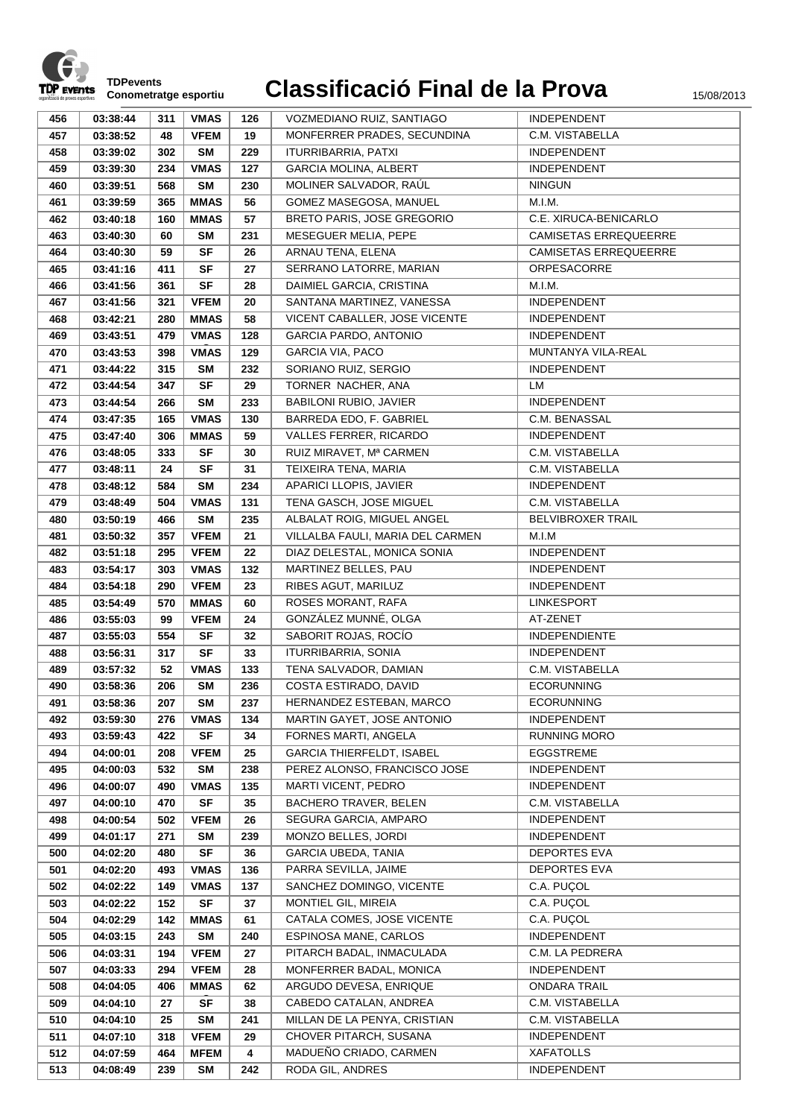

| 456 | 03:38:44 | 311 | <b>VMAS</b> | 126 | VOZMEDIANO RUIZ, SANTIAGO        | <b>INDEPENDENT</b>           |
|-----|----------|-----|-------------|-----|----------------------------------|------------------------------|
| 457 | 03:38:52 | 48  | <b>VFEM</b> | 19  | MONFERRER PRADES, SECUNDINA      | C.M. VISTABELLA              |
| 458 | 03:39:02 | 302 | <b>SM</b>   | 229 | <b>ITURRIBARRIA, PATXI</b>       | <b>INDEPENDENT</b>           |
| 459 | 03:39:30 | 234 | <b>VMAS</b> | 127 | <b>GARCIA MOLINA, ALBERT</b>     | <b>INDEPENDENT</b>           |
| 460 | 03:39:51 | 568 | <b>SM</b>   | 230 | MOLINER SALVADOR, RAÚL           | <b>NINGUN</b>                |
| 461 |          | 365 | <b>MMAS</b> | 56  | GOMEZ MASEGOSA, MANUEL           | M.I.M.                       |
|     | 03:39:59 |     |             |     |                                  |                              |
| 462 | 03:40:18 | 160 | <b>MMAS</b> | 57  | BRETO PARIS, JOSE GREGORIO       | C.E. XIRUCA-BENICARLO        |
| 463 | 03:40:30 | 60  | <b>SM</b>   | 231 | MESEGUER MELIA, PEPE             | <b>CAMISETAS ERREQUEERRE</b> |
| 464 | 03:40:30 | 59  | <b>SF</b>   | 26  | ARNAU TENA, ELENA                | <b>CAMISETAS ERREQUEERRE</b> |
| 465 | 03:41:16 | 411 | <b>SF</b>   | 27  | SERRANO LATORRE, MARIAN          | ORPESACORRE                  |
| 466 | 03:41:56 | 361 | <b>SF</b>   | 28  | DAIMIEL GARCIA, CRISTINA         | M.I.M.                       |
| 467 | 03:41:56 | 321 | <b>VFEM</b> | 20  | SANTANA MARTINEZ, VANESSA        | INDEPENDENT                  |
| 468 | 03:42:21 | 280 | <b>MMAS</b> | 58  | VICENT CABALLER, JOSE VICENTE    | <b>INDEPENDENT</b>           |
| 469 | 03:43:51 | 479 | <b>VMAS</b> | 128 | <b>GARCIA PARDO, ANTONIO</b>     | <b>INDEPENDENT</b>           |
| 470 | 03:43:53 | 398 | <b>VMAS</b> | 129 | <b>GARCIA VIA, PACO</b>          | MUNTANYA VILA-REAL           |
| 471 | 03:44:22 | 315 | <b>SM</b>   | 232 | SORIANO RUIZ, SERGIO             | INDEPENDENT                  |
| 472 | 03:44:54 | 347 | <b>SF</b>   | 29  | TORNER NACHER, ANA               | LM                           |
| 473 | 03:44:54 | 266 | <b>SM</b>   | 233 | <b>BABILONI RUBIO, JAVIER</b>    | INDEPENDENT                  |
| 474 | 03:47:35 | 165 | <b>VMAS</b> | 130 | BARREDA EDO, F. GABRIEL          | C.M. BENASSAL                |
| 475 | 03:47:40 | 306 | <b>MMAS</b> | 59  | VALLES FERRER, RICARDO           | <b>INDEPENDENT</b>           |
| 476 | 03:48:05 | 333 | <b>SF</b>   | 30  | RUIZ MIRAVET, Mª CARMEN          | C.M. VISTABELLA              |
| 477 | 03:48:11 | 24  | <b>SF</b>   | 31  | TEIXEIRA TENA, MARIA             | C.M. VISTABELLA              |
| 478 | 03:48:12 | 584 | <b>SM</b>   | 234 | APARICI LLOPIS, JAVIER           | <b>INDEPENDENT</b>           |
| 479 | 03:48:49 | 504 | <b>VMAS</b> | 131 | TENA GASCH, JOSE MIGUEL          | C.M. VISTABELLA              |
| 480 | 03:50:19 | 466 | <b>SM</b>   | 235 | ALBALAT ROIG, MIGUEL ANGEL       | <b>BELVIBROXER TRAIL</b>     |
| 481 | 03:50:32 | 357 | <b>VFEM</b> | 21  | VILLALBA FAULI, MARIA DEL CARMEN | M.I.M                        |
| 482 | 03:51:18 | 295 | <b>VFEM</b> | 22  | DIAZ DELESTAL, MONICA SONIA      | <b>INDEPENDENT</b>           |
| 483 | 03:54:17 | 303 | <b>VMAS</b> | 132 | MARTINEZ BELLES, PAU             | <b>INDEPENDENT</b>           |
| 484 | 03:54:18 | 290 | <b>VFEM</b> | 23  | RIBES AGUT, MARILUZ              | INDEPENDENT                  |
| 485 | 03:54:49 | 570 | <b>MMAS</b> | 60  | ROSES MORANT, RAFA               | <b>LINKESPORT</b>            |
| 486 | 03:55:03 | 99  | <b>VFEM</b> | 24  | GONZÁLEZ MUNNÉ, OLGA             | AT-ZENET                     |
| 487 | 03:55:03 | 554 | <b>SF</b>   | 32  | SABORIT ROJAS, ROCÍO             | <b>INDEPENDIENTE</b>         |
| 488 | 03:56:31 | 317 | <b>SF</b>   | 33  | ITURRIBARRIA, SONIA              | <b>INDEPENDENT</b>           |
| 489 | 03:57:32 | 52  | <b>VMAS</b> | 133 | TENA SALVADOR, DAMIAN            | C.M. VISTABELLA              |
| 490 | 03:58:36 | 206 | <b>SM</b>   | 236 | COSTA ESTIRADO, DAVID            | <b>ECORUNNING</b>            |
| 491 | 03:58:36 | 207 | <b>SM</b>   | 237 | HERNANDEZ ESTEBAN, MARCO         | <b>ECORUNNING</b>            |
| 492 | 03:59:30 | 276 | <b>VMAS</b> | 134 | MARTIN GAYET, JOSE ANTONIO       | INDEPENDENT                  |
| 493 | 03:59:43 | 422 | <b>SF</b>   | 34  | FORNES MARTI, ANGELA             | <b>RUNNING MORO</b>          |
| 494 | 04:00:01 | 208 | <b>VFEM</b> | 25  | GARCIA THIERFELDT, ISABEL        | <b>EGGSTREME</b>             |
| 495 | 04:00:03 | 532 | SM          | 238 | PEREZ ALONSO, FRANCISCO JOSE     | INDEPENDENT                  |
| 496 | 04:00:07 | 490 | <b>VMAS</b> | 135 | MARTI VICENT, PEDRO              | <b>INDEPENDENT</b>           |
| 497 | 04:00:10 | 470 | <b>SF</b>   | 35  | <b>BACHERO TRAVER, BELEN</b>     | C.M. VISTABELLA              |
| 498 | 04:00:54 | 502 | <b>VFEM</b> | 26  | SEGURA GARCIA, AMPARO            | INDEPENDENT                  |
| 499 | 04:01:17 | 271 | SM          | 239 | MONZO BELLES, JORDI              | <b>INDEPENDENT</b>           |
| 500 | 04:02:20 | 480 | <b>SF</b>   | 36  | <b>GARCIA UBEDA, TANIA</b>       | <b>DEPORTES EVA</b>          |
| 501 | 04:02:20 | 493 | <b>VMAS</b> | 136 | PARRA SEVILLA, JAIME             | <b>DEPORTES EVA</b>          |
| 502 | 04:02:22 | 149 | <b>VMAS</b> | 137 | SANCHEZ DOMINGO, VICENTE         | C.A. PUÇOL                   |
| 503 | 04:02:22 | 152 | <b>SF</b>   | 37  | MONTIEL GIL, MIREIA              | C.A. PUÇOL                   |
| 504 | 04:02:29 | 142 | <b>MMAS</b> | 61  | CATALA COMES, JOSE VICENTE       | C.A. PUÇOL                   |
| 505 | 04:03:15 | 243 | <b>SM</b>   | 240 | ESPINOSA MANE, CARLOS            | INDEPENDENT                  |
| 506 | 04:03:31 | 194 | <b>VFEM</b> | 27  | PITARCH BADAL, INMACULADA        | C.M. LA PEDRERA              |
| 507 | 04:03:33 | 294 | <b>VFEM</b> | 28  | MONFERRER BADAL, MONICA          | INDEPENDENT                  |
|     |          |     |             |     | ARGUDO DEVESA, ENRIQUE           | <b>ONDARA TRAIL</b>          |
| 508 | 04:04:05 | 406 | <b>MMAS</b> | 62  |                                  |                              |
| 509 | 04:04:10 | 27  | <b>SF</b>   | 38  | CABEDO CATALAN, ANDREA           | C.M. VISTABELLA              |
| 510 | 04:04:10 | 25  | <b>SM</b>   | 241 | MILLAN DE LA PENYA, CRISTIAN     | C.M. VISTABELLA              |
| 511 | 04:07:10 | 318 | <b>VFEM</b> | 29  | CHOVER PITARCH, SUSANA           | INDEPENDENT                  |
| 512 | 04:07:59 | 464 | <b>MFEM</b> | 4   | MADUEÑO CRIADO, CARMEN           | <b>XAFATOLLS</b>             |
| 513 | 04:08:49 | 239 | <b>SM</b>   | 242 | RODA GIL, ANDRES                 | <b>INDEPENDENT</b>           |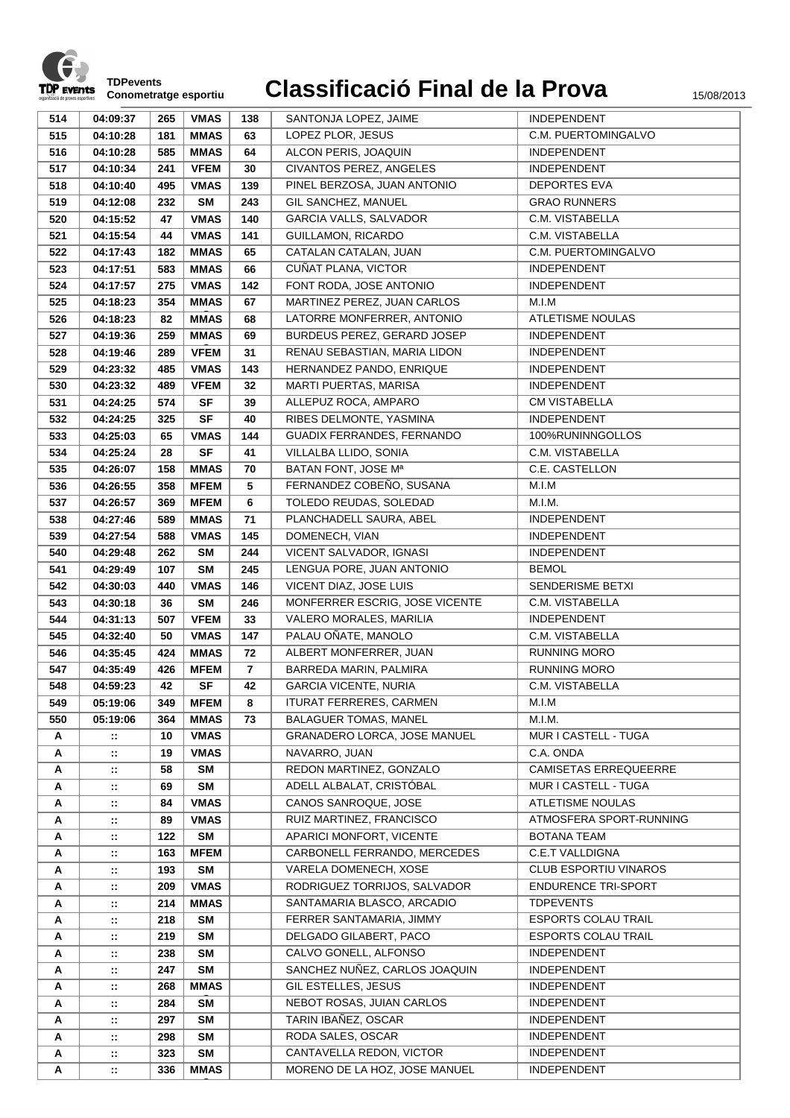

| 514 | 04:09:37       | 265 | <b>VMAS</b> | 138            | SANTONJA LOPEZ, JAIME          | <b>INDEPENDENT</b>           |
|-----|----------------|-----|-------------|----------------|--------------------------------|------------------------------|
|     |                |     |             |                |                                | C.M. PUERTOMINGALVO          |
| 515 | 04:10:28       | 181 | <b>MMAS</b> | 63             | LOPEZ PLOR, JESUS              |                              |
| 516 | 04:10:28       | 585 | <b>MMAS</b> | 64             | ALCON PERIS, JOAQUIN           | <b>INDEPENDENT</b>           |
| 517 | 04:10:34       | 241 | <b>VFEM</b> | 30             | CIVANTOS PEREZ, ANGELES        | INDEPENDENT                  |
| 518 | 04:10:40       | 495 | <b>VMAS</b> | 139            | PINEL BERZOSA, JUAN ANTONIO    | <b>DEPORTES EVA</b>          |
| 519 | 04:12:08       | 232 | <b>SM</b>   | 243            | GIL SANCHEZ. MANUEL            | <b>GRAO RUNNERS</b>          |
| 520 | 04:15:52       | 47  | <b>VMAS</b> | 140            | GARCIA VALLS, SALVADOR         | C.M. VISTABELLA              |
| 521 | 04:15:54       | 44  | <b>VMAS</b> | 141            | <b>GUILLAMON, RICARDO</b>      | C.M. VISTABELLA              |
| 522 | 04:17:43       | 182 | <b>MMAS</b> | 65             | CATALAN CATALAN, JUAN          | C.M. PUERTOMINGALVO          |
| 523 | 04:17:51       | 583 | <b>MMAS</b> | 66             | CUÑAT PLANA, VICTOR            | <b>INDEPENDENT</b>           |
| 524 | 04:17:57       | 275 | <b>VMAS</b> | 142            | FONT RODA, JOSE ANTONIO        | <b>INDEPENDENT</b>           |
| 525 | 04:18:23       | 354 | <b>MMAS</b> | 67             | MARTINEZ PEREZ, JUAN CARLOS    | M.I.M                        |
| 526 | 04:18:23       | 82  | <b>MMAS</b> | 68             | LATORRE MONFERRER, ANTONIO     | <b>ATLETISME NOULAS</b>      |
| 527 | 04:19:36       | 259 | <b>MMAS</b> | 69             | BURDEUS PEREZ, GERARD JOSEP    | <b>INDEPENDENT</b>           |
| 528 | 04:19:46       | 289 | <b>VFEM</b> | 31             | RENAU SEBASTIAN, MARIA LIDON   | <b>INDEPENDENT</b>           |
| 529 | 04:23:32       | 485 | <b>VMAS</b> | 143            | HERNANDEZ PANDO, ENRIQUE       | INDEPENDENT                  |
| 530 | 04:23:32       | 489 | <b>VFEM</b> | 32             | <b>MARTI PUERTAS, MARISA</b>   | <b>INDEPENDENT</b>           |
| 531 | 04:24:25       | 574 | <b>SF</b>   | 39             | ALLEPUZ ROCA, AMPARO           | <b>CM VISTABELLA</b>         |
| 532 | 04:24:25       | 325 | <b>SF</b>   | 40             | RIBES DELMONTE, YASMINA        | <b>INDEPENDENT</b>           |
| 533 | 04:25:03       | 65  | <b>VMAS</b> | 144            | GUADIX FERRANDES, FERNANDO     | 100%RUNINNGOLLOS             |
| 534 | 04:25:24       | 28  | <b>SF</b>   | 41             | VILLALBA LLIDO, SONIA          | C.M. VISTABELLA              |
| 535 | 04:26:07       | 158 | <b>MMAS</b> | 70             | BATAN FONT, JOSE Mª            | C.E. CASTELLON               |
| 536 | 04:26:55       | 358 | <b>MFEM</b> | 5              | FERNANDEZ COBEÑO, SUSANA       | M.I.M                        |
| 537 | 04:26:57       | 369 | <b>MFEM</b> | 6              | TOLEDO REUDAS, SOLEDAD         | M.I.M.                       |
| 538 | 04:27:46       | 589 | <b>MMAS</b> | 71             | PLANCHADELL SAURA, ABEL        | <b>INDEPENDENT</b>           |
| 539 | 04:27:54       | 588 | <b>VMAS</b> | 145            | DOMENECH, VIAN                 | INDEPENDENT                  |
| 540 | 04:29:48       | 262 | <b>SM</b>   | 244            | VICENT SALVADOR, IGNASI        | INDEPENDENT                  |
| 541 | 04:29:49       | 107 | <b>SM</b>   | 245            | LENGUA PORE, JUAN ANTONIO      | <b>BEMOL</b>                 |
| 542 | 04:30:03       | 440 | <b>VMAS</b> | 146            | VICENT DIAZ, JOSE LUIS         | SENDERISME BETXI             |
| 543 | 04:30:18       | 36  | <b>SM</b>   | 246            | MONFERRER ESCRIG, JOSE VICENTE | C.M. VISTABELLA              |
| 544 | 04:31:13       | 507 | <b>VFEM</b> | 33             | VALERO MORALES, MARILIA        | <b>INDEPENDENT</b>           |
| 545 | 04:32:40       | 50  | <b>VMAS</b> | 147            | PALAU OÑATE, MANOLO            | C.M. VISTABELLA              |
| 546 | 04:35:45       | 424 | <b>MMAS</b> | 72             | ALBERT MONFERRER, JUAN         | <b>RUNNING MORO</b>          |
| 547 | 04:35:49       | 426 | <b>MFEM</b> | $\overline{7}$ | BARREDA MARIN, PALMIRA         | <b>RUNNING MORO</b>          |
| 548 | 04:59:23       | 42  | <b>SF</b>   | 42             | <b>GARCIA VICENTE, NURIA</b>   | C.M. VISTABELLA              |
| 549 | 05:19:06       | 349 | <b>MFEM</b> | 8              | ITURAT FERRERES, CARMEN        | M.I.M                        |
| 550 | 05:19:06       | 364 | <b>MMAS</b> | 73             | <b>BALAGUER TOMAS, MANEL</b>   | M.I.M.                       |
| Α   | $\mathbb{Z}$   | 10  | <b>VMAS</b> |                | GRANADERO LORCA, JOSE MANUEL   | MUR I CASTELL - TUGA         |
| Α   | $\mathbb{Z}^*$ | 19  | <b>VMAS</b> |                | NAVARRO, JUAN                  | C.A. ONDA                    |
| Α   | $\mathbb{Z}^2$ | 58  | <b>SM</b>   |                | REDON MARTINEZ, GONZALO        | <b>CAMISETAS ERREQUEERRE</b> |
| A   | $\mathbb{R}^2$ | 69  | <b>SM</b>   |                | ADELL ALBALAT, CRISTÓBAL       | MUR I CASTELL - TUGA         |
| Α   | $\mathbb{Z}^*$ | 84  | <b>VMAS</b> |                | CANOS SANROQUE, JOSE           | ATLETISME NOULAS             |
| Α   | $\mathbb{Z}^*$ | 89  | <b>VMAS</b> |                | RUIZ MARTINEZ, FRANCISCO       | ATMOSFERA SPORT-RUNNING      |
| Α   | $\mathbb{Z}$   | 122 | SM          |                | APARICI MONFORT, VICENTE       | <b>BOTANA TEAM</b>           |
| Α   | $\mathbb{Z}^*$ | 163 | <b>MFEM</b> |                | CARBONELL FERRANDO, MERCEDES   | <b>C.E.T VALLDIGNA</b>       |
| Α   | $\mathbb{R}^2$ | 193 | <b>SM</b>   |                | VARELA DOMENECH, XOSE          | <b>CLUB ESPORTIU VINAROS</b> |
| Α   | π.             | 209 | <b>VMAS</b> |                | RODRIGUEZ TORRIJOS, SALVADOR   | <b>ENDURENCE TRI-SPORT</b>   |
| Α   | π.             | 214 | <b>MMAS</b> |                | SANTAMARIA BLASCO, ARCADIO     | <b>TDPEVENTS</b>             |
| Α   | $\mathbb{Z}$   | 218 | <b>SM</b>   |                | FERRER SANTAMARIA, JIMMY       | <b>ESPORTS COLAU TRAIL</b>   |
| Α   | π.             | 219 | SM          |                | DELGADO GILABERT, PACO         | <b>ESPORTS COLAU TRAIL</b>   |
| Α   | 11             | 238 | <b>SM</b>   |                | CALVO GONELL, ALFONSO          | <b>INDEPENDENT</b>           |
| Α   | $\mathbb{Z}$   | 247 | <b>SM</b>   |                | SANCHEZ NUÑEZ, CARLOS JOAQUIN  | <b>INDEPENDENT</b>           |
| Α   | $\mathbb{Z}^2$ | 268 | <b>MMAS</b> |                | GIL ESTELLES, JESUS            | INDEPENDENT                  |
| Α   | $\mathbb{Z}^2$ | 284 | SM          |                | NEBOT ROSAS, JUIAN CARLOS      | <b>INDEPENDENT</b>           |
| Α   | $\mathbb{Z}$   | 297 | SM          |                | TARIN IBAÑEZ, OSCAR            | <b>INDEPENDENT</b>           |
| Α   | $\mathbb{Z}^2$ | 298 | <b>SM</b>   |                | RODA SALES, OSCAR              | INDEPENDENT                  |
| Α   | $\mathbb{Z}^*$ | 323 | <b>SM</b>   |                | CANTAVELLA REDON, VICTOR       | INDEPENDENT                  |
| Α   | ∷              | 336 | <b>MMAS</b> |                | MORENO DE LA HOZ, JOSE MANUEL  | INDEPENDENT                  |